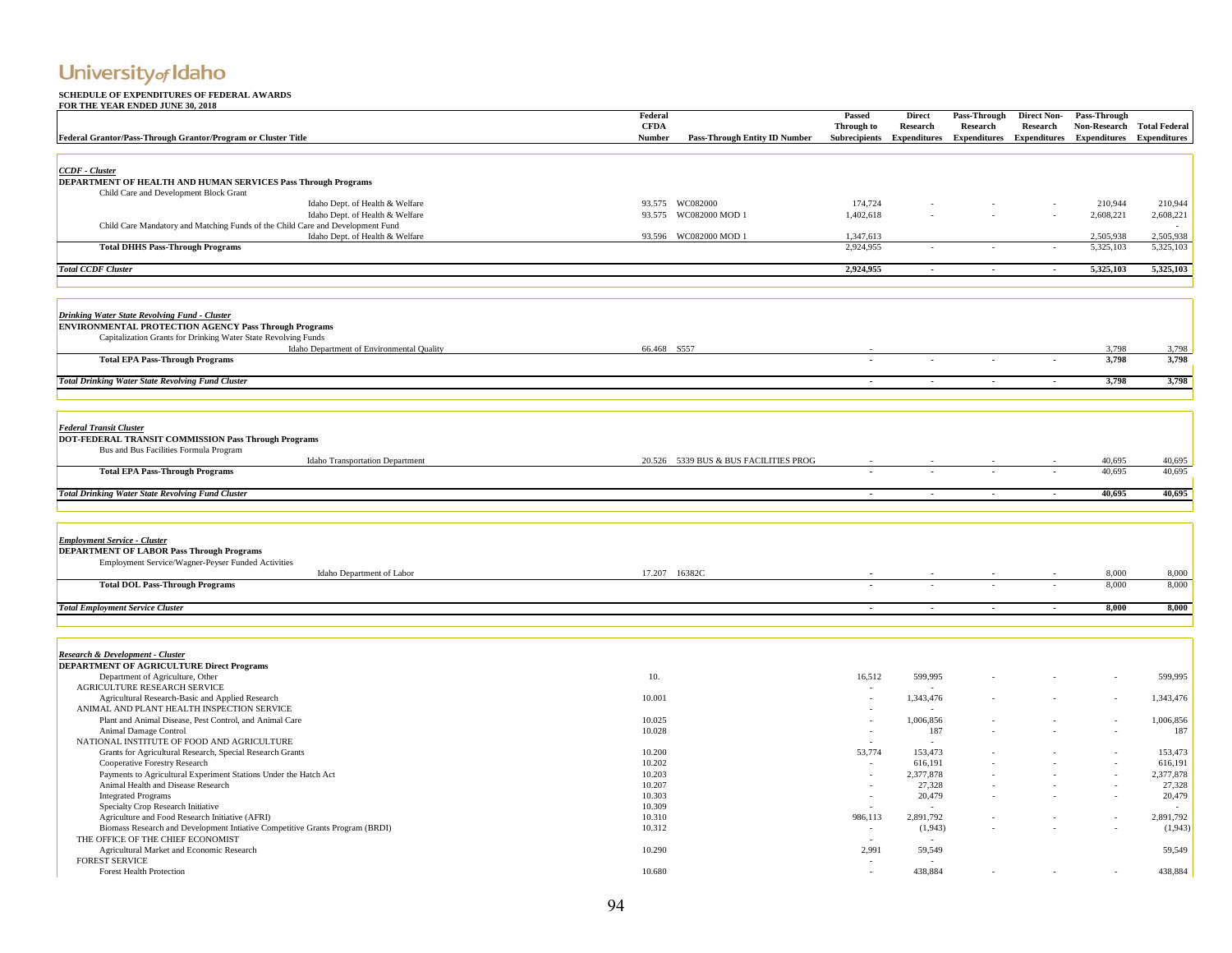| <b>CFDA</b><br>Through to<br>Research<br>Research<br>Research<br>Non-Research Total Federal<br><b>Number</b><br><b>Pass-Through Entity ID Number</b><br>Federal Grantor/Pass-Through Grantor/Program or Cluster Title<br>Subrecipients Expenditures Expenditures Expenditures Expenditures Expenditures<br>CCDF - Cluster<br>DEPARTMENT OF HEALTH AND HUMAN SERVICES Pass Through Programs<br>Child Care and Development Block Grant<br>Idaho Dept. of Health & Welfare<br>93.575 WC082000<br>174,724<br>210,944<br>210,944<br>Idaho Dept. of Health & Welfare<br>93.575 WC082000 MOD 1<br>1,402,618<br>2,608,221<br>2,608,221<br>Child Care Mandatory and Matching Funds of the Child Care and Development Fund<br>$\sim$<br>Idaho Dept. of Health & Welfare<br>93.596 WC082000 MOD 1<br>1,347,613<br>2,505,938<br>2.505.938<br>2,924,955<br><b>Total DHHS Pass-Through Programs</b><br>5,325,103<br>5,325,103<br>$\sim$<br><b>Total CCDF Cluster</b><br>2,924,955<br>5,325,103<br>5,325,103<br>$\sim$<br>$\overline{\phantom{a}}$<br>$\overline{a}$<br><b>Drinking Water State Revolving Fund - Cluster</b><br><b>ENVIRONMENTAL PROTECTION AGENCY Pass Through Programs</b><br>Capitalization Grants for Drinking Water State Revolving Funds<br>Idaho Department of Environmental Quality<br>66.468 S557<br>3,798<br>3,798<br><b>Total EPA Pass-Through Programs</b><br>3.798<br>$\sim$<br>$\blacksquare$<br>$\blacksquare$<br>$\blacksquare$<br>3,798<br><b>Total Drinking Water State Revolving Fund Cluster</b><br>$\sim$<br>$\sim$<br>$\sim$<br>$\sim$<br><b>Federal Transit Cluster</b><br>DOT-FEDERAL TRANSIT COMMISSION Pass Through Programs<br>Bus and Bus Facilities Formula Program<br>20.526 5339 BUS & BUS FACILITIES PROG<br>40,695<br><b>Idaho Transportation Department</b><br>40,695<br><b>Total EPA Pass-Through Programs</b><br><b>Total Drinking Water State Revolving Fund Cluster</b><br>40,695<br>40,695<br>$\sim$<br>$\sim$<br>$\sim$<br>$\sim$<br><b>Employment Service - Cluster</b><br><b>DEPARTMENT OF LABOR Pass Through Programs</b><br>Employment Service/Wagner-Peyser Funded Activities<br>17.207 16382C<br>Idaho Department of Labor<br>8,000<br>8,000<br>8,000<br><b>Total DOL Pass-Through Programs</b><br>8,000<br>$\overline{\phantom{a}}$<br>$\sim$<br>8,000<br>8,000<br><b>Total Employment Service Cluster</b><br>$\sim$<br>$\sim$<br>$\sim$<br>$\sim$<br>Research & Development - Cluster<br><b>DEPARTMENT OF AGRICULTURE Direct Programs</b><br>10.<br>16,512<br>Department of Agriculture, Other<br>599,995<br>599,995<br>AGRICULTURE RESEARCH SERVICE<br>10.001<br>1,343,476<br>Agricultural Research-Basic and Applied Research<br>1,343,476<br>$\sim$<br>ANIMAL AND PLANT HEALTH INSPECTION SERVICE<br>Plant and Animal Disease, Pest Control, and Animal Care<br>10.025<br>1,006,856<br>1,006,856<br>Animal Damage Control<br>10.028<br>187<br>187<br>$\sim$<br>NATIONAL INSTITUTE OF FOOD AND AGRICULTURE<br>÷.<br>$\sim$<br>Grants for Agricultural Research, Special Research Grants<br>10.200<br>53,774<br>153,473<br>153,473<br>10.202<br>616,191<br>Cooperative Forestry Research<br>616,191<br>Payments to Agricultural Experiment Stations Under the Hatch Act<br>10.203<br>2,377,878<br>2,377,878<br>Animal Health and Disease Research<br>10.207<br>27,328<br>27,328<br>10.303<br>20,479<br><b>Integrated Programs</b><br>20,479<br>Specialty Crop Research Initiative<br>10.309<br>Agriculture and Food Research Initiative (AFRI)<br>2,891,792<br>10.310<br>986,113<br>2,891,792<br>Biomass Research and Development Intiative Competitive Grants Program (BRDI)<br>10.312<br>(1,943)<br>(1,943)<br>$\sim$<br>THE OFFICE OF THE CHIEF ECONOMIST<br>$\sim$<br>Agricultural Market and Economic Research<br>10.290<br>2.991<br>59,549<br><b>FOREST SERVICE</b><br>438,884<br>Forest Health Protection<br>10.680 | Federal | Passed | <b>Direct</b> | Pass-Through | <b>Direct Non-</b> | <b>Pass-Through</b> |         |  |
|------------------------------------------------------------------------------------------------------------------------------------------------------------------------------------------------------------------------------------------------------------------------------------------------------------------------------------------------------------------------------------------------------------------------------------------------------------------------------------------------------------------------------------------------------------------------------------------------------------------------------------------------------------------------------------------------------------------------------------------------------------------------------------------------------------------------------------------------------------------------------------------------------------------------------------------------------------------------------------------------------------------------------------------------------------------------------------------------------------------------------------------------------------------------------------------------------------------------------------------------------------------------------------------------------------------------------------------------------------------------------------------------------------------------------------------------------------------------------------------------------------------------------------------------------------------------------------------------------------------------------------------------------------------------------------------------------------------------------------------------------------------------------------------------------------------------------------------------------------------------------------------------------------------------------------------------------------------------------------------------------------------------------------------------------------------------------------------------------------------------------------------------------------------------------------------------------------------------------------------------------------------------------------------------------------------------------------------------------------------------------------------------------------------------------------------------------------------------------------------------------------------------------------------------------------------------------------------------------------------------------------------------------------------------------------------------------------------------------------------------------------------------------------------------------------------------------------------------------------------------------------------------------------------------------------------------------------------------------------------------------------------------------------------------------------------------------------------------------------------------------------------------------------------------------------------------------------------------------------------------------------------------------------------------------------------------------------------------------------------------------------------------------------------------------------------------------------------------------------------------------------------------------------------------------------------------------------------------------------------------------------------------------------------------------------------------------------------------------------------------------------------------------------------------------------------------------------------------------------------------------|---------|--------|---------------|--------------|--------------------|---------------------|---------|--|
|                                                                                                                                                                                                                                                                                                                                                                                                                                                                                                                                                                                                                                                                                                                                                                                                                                                                                                                                                                                                                                                                                                                                                                                                                                                                                                                                                                                                                                                                                                                                                                                                                                                                                                                                                                                                                                                                                                                                                                                                                                                                                                                                                                                                                                                                                                                                                                                                                                                                                                                                                                                                                                                                                                                                                                                                                                                                                                                                                                                                                                                                                                                                                                                                                                                                                                                                                                                                                                                                                                                                                                                                                                                                                                                                                                                                                                                                              |         |        |               |              |                    |                     |         |  |
|                                                                                                                                                                                                                                                                                                                                                                                                                                                                                                                                                                                                                                                                                                                                                                                                                                                                                                                                                                                                                                                                                                                                                                                                                                                                                                                                                                                                                                                                                                                                                                                                                                                                                                                                                                                                                                                                                                                                                                                                                                                                                                                                                                                                                                                                                                                                                                                                                                                                                                                                                                                                                                                                                                                                                                                                                                                                                                                                                                                                                                                                                                                                                                                                                                                                                                                                                                                                                                                                                                                                                                                                                                                                                                                                                                                                                                                                              |         |        |               |              |                    |                     |         |  |
|                                                                                                                                                                                                                                                                                                                                                                                                                                                                                                                                                                                                                                                                                                                                                                                                                                                                                                                                                                                                                                                                                                                                                                                                                                                                                                                                                                                                                                                                                                                                                                                                                                                                                                                                                                                                                                                                                                                                                                                                                                                                                                                                                                                                                                                                                                                                                                                                                                                                                                                                                                                                                                                                                                                                                                                                                                                                                                                                                                                                                                                                                                                                                                                                                                                                                                                                                                                                                                                                                                                                                                                                                                                                                                                                                                                                                                                                              |         |        |               |              |                    |                     |         |  |
|                                                                                                                                                                                                                                                                                                                                                                                                                                                                                                                                                                                                                                                                                                                                                                                                                                                                                                                                                                                                                                                                                                                                                                                                                                                                                                                                                                                                                                                                                                                                                                                                                                                                                                                                                                                                                                                                                                                                                                                                                                                                                                                                                                                                                                                                                                                                                                                                                                                                                                                                                                                                                                                                                                                                                                                                                                                                                                                                                                                                                                                                                                                                                                                                                                                                                                                                                                                                                                                                                                                                                                                                                                                                                                                                                                                                                                                                              |         |        |               |              |                    |                     |         |  |
|                                                                                                                                                                                                                                                                                                                                                                                                                                                                                                                                                                                                                                                                                                                                                                                                                                                                                                                                                                                                                                                                                                                                                                                                                                                                                                                                                                                                                                                                                                                                                                                                                                                                                                                                                                                                                                                                                                                                                                                                                                                                                                                                                                                                                                                                                                                                                                                                                                                                                                                                                                                                                                                                                                                                                                                                                                                                                                                                                                                                                                                                                                                                                                                                                                                                                                                                                                                                                                                                                                                                                                                                                                                                                                                                                                                                                                                                              |         |        |               |              |                    |                     |         |  |
|                                                                                                                                                                                                                                                                                                                                                                                                                                                                                                                                                                                                                                                                                                                                                                                                                                                                                                                                                                                                                                                                                                                                                                                                                                                                                                                                                                                                                                                                                                                                                                                                                                                                                                                                                                                                                                                                                                                                                                                                                                                                                                                                                                                                                                                                                                                                                                                                                                                                                                                                                                                                                                                                                                                                                                                                                                                                                                                                                                                                                                                                                                                                                                                                                                                                                                                                                                                                                                                                                                                                                                                                                                                                                                                                                                                                                                                                              |         |        |               |              |                    |                     |         |  |
|                                                                                                                                                                                                                                                                                                                                                                                                                                                                                                                                                                                                                                                                                                                                                                                                                                                                                                                                                                                                                                                                                                                                                                                                                                                                                                                                                                                                                                                                                                                                                                                                                                                                                                                                                                                                                                                                                                                                                                                                                                                                                                                                                                                                                                                                                                                                                                                                                                                                                                                                                                                                                                                                                                                                                                                                                                                                                                                                                                                                                                                                                                                                                                                                                                                                                                                                                                                                                                                                                                                                                                                                                                                                                                                                                                                                                                                                              |         |        |               |              |                    |                     |         |  |
|                                                                                                                                                                                                                                                                                                                                                                                                                                                                                                                                                                                                                                                                                                                                                                                                                                                                                                                                                                                                                                                                                                                                                                                                                                                                                                                                                                                                                                                                                                                                                                                                                                                                                                                                                                                                                                                                                                                                                                                                                                                                                                                                                                                                                                                                                                                                                                                                                                                                                                                                                                                                                                                                                                                                                                                                                                                                                                                                                                                                                                                                                                                                                                                                                                                                                                                                                                                                                                                                                                                                                                                                                                                                                                                                                                                                                                                                              |         |        |               |              |                    |                     |         |  |
|                                                                                                                                                                                                                                                                                                                                                                                                                                                                                                                                                                                                                                                                                                                                                                                                                                                                                                                                                                                                                                                                                                                                                                                                                                                                                                                                                                                                                                                                                                                                                                                                                                                                                                                                                                                                                                                                                                                                                                                                                                                                                                                                                                                                                                                                                                                                                                                                                                                                                                                                                                                                                                                                                                                                                                                                                                                                                                                                                                                                                                                                                                                                                                                                                                                                                                                                                                                                                                                                                                                                                                                                                                                                                                                                                                                                                                                                              |         |        |               |              |                    |                     |         |  |
|                                                                                                                                                                                                                                                                                                                                                                                                                                                                                                                                                                                                                                                                                                                                                                                                                                                                                                                                                                                                                                                                                                                                                                                                                                                                                                                                                                                                                                                                                                                                                                                                                                                                                                                                                                                                                                                                                                                                                                                                                                                                                                                                                                                                                                                                                                                                                                                                                                                                                                                                                                                                                                                                                                                                                                                                                                                                                                                                                                                                                                                                                                                                                                                                                                                                                                                                                                                                                                                                                                                                                                                                                                                                                                                                                                                                                                                                              |         |        |               |              |                    |                     |         |  |
|                                                                                                                                                                                                                                                                                                                                                                                                                                                                                                                                                                                                                                                                                                                                                                                                                                                                                                                                                                                                                                                                                                                                                                                                                                                                                                                                                                                                                                                                                                                                                                                                                                                                                                                                                                                                                                                                                                                                                                                                                                                                                                                                                                                                                                                                                                                                                                                                                                                                                                                                                                                                                                                                                                                                                                                                                                                                                                                                                                                                                                                                                                                                                                                                                                                                                                                                                                                                                                                                                                                                                                                                                                                                                                                                                                                                                                                                              |         |        |               |              |                    |                     |         |  |
|                                                                                                                                                                                                                                                                                                                                                                                                                                                                                                                                                                                                                                                                                                                                                                                                                                                                                                                                                                                                                                                                                                                                                                                                                                                                                                                                                                                                                                                                                                                                                                                                                                                                                                                                                                                                                                                                                                                                                                                                                                                                                                                                                                                                                                                                                                                                                                                                                                                                                                                                                                                                                                                                                                                                                                                                                                                                                                                                                                                                                                                                                                                                                                                                                                                                                                                                                                                                                                                                                                                                                                                                                                                                                                                                                                                                                                                                              |         |        |               |              |                    |                     |         |  |
|                                                                                                                                                                                                                                                                                                                                                                                                                                                                                                                                                                                                                                                                                                                                                                                                                                                                                                                                                                                                                                                                                                                                                                                                                                                                                                                                                                                                                                                                                                                                                                                                                                                                                                                                                                                                                                                                                                                                                                                                                                                                                                                                                                                                                                                                                                                                                                                                                                                                                                                                                                                                                                                                                                                                                                                                                                                                                                                                                                                                                                                                                                                                                                                                                                                                                                                                                                                                                                                                                                                                                                                                                                                                                                                                                                                                                                                                              |         |        |               |              |                    |                     |         |  |
|                                                                                                                                                                                                                                                                                                                                                                                                                                                                                                                                                                                                                                                                                                                                                                                                                                                                                                                                                                                                                                                                                                                                                                                                                                                                                                                                                                                                                                                                                                                                                                                                                                                                                                                                                                                                                                                                                                                                                                                                                                                                                                                                                                                                                                                                                                                                                                                                                                                                                                                                                                                                                                                                                                                                                                                                                                                                                                                                                                                                                                                                                                                                                                                                                                                                                                                                                                                                                                                                                                                                                                                                                                                                                                                                                                                                                                                                              |         |        |               |              |                    |                     |         |  |
|                                                                                                                                                                                                                                                                                                                                                                                                                                                                                                                                                                                                                                                                                                                                                                                                                                                                                                                                                                                                                                                                                                                                                                                                                                                                                                                                                                                                                                                                                                                                                                                                                                                                                                                                                                                                                                                                                                                                                                                                                                                                                                                                                                                                                                                                                                                                                                                                                                                                                                                                                                                                                                                                                                                                                                                                                                                                                                                                                                                                                                                                                                                                                                                                                                                                                                                                                                                                                                                                                                                                                                                                                                                                                                                                                                                                                                                                              |         |        |               |              |                    |                     |         |  |
|                                                                                                                                                                                                                                                                                                                                                                                                                                                                                                                                                                                                                                                                                                                                                                                                                                                                                                                                                                                                                                                                                                                                                                                                                                                                                                                                                                                                                                                                                                                                                                                                                                                                                                                                                                                                                                                                                                                                                                                                                                                                                                                                                                                                                                                                                                                                                                                                                                                                                                                                                                                                                                                                                                                                                                                                                                                                                                                                                                                                                                                                                                                                                                                                                                                                                                                                                                                                                                                                                                                                                                                                                                                                                                                                                                                                                                                                              |         |        |               |              |                    |                     |         |  |
|                                                                                                                                                                                                                                                                                                                                                                                                                                                                                                                                                                                                                                                                                                                                                                                                                                                                                                                                                                                                                                                                                                                                                                                                                                                                                                                                                                                                                                                                                                                                                                                                                                                                                                                                                                                                                                                                                                                                                                                                                                                                                                                                                                                                                                                                                                                                                                                                                                                                                                                                                                                                                                                                                                                                                                                                                                                                                                                                                                                                                                                                                                                                                                                                                                                                                                                                                                                                                                                                                                                                                                                                                                                                                                                                                                                                                                                                              |         |        |               |              |                    |                     |         |  |
|                                                                                                                                                                                                                                                                                                                                                                                                                                                                                                                                                                                                                                                                                                                                                                                                                                                                                                                                                                                                                                                                                                                                                                                                                                                                                                                                                                                                                                                                                                                                                                                                                                                                                                                                                                                                                                                                                                                                                                                                                                                                                                                                                                                                                                                                                                                                                                                                                                                                                                                                                                                                                                                                                                                                                                                                                                                                                                                                                                                                                                                                                                                                                                                                                                                                                                                                                                                                                                                                                                                                                                                                                                                                                                                                                                                                                                                                              |         |        |               |              |                    |                     |         |  |
|                                                                                                                                                                                                                                                                                                                                                                                                                                                                                                                                                                                                                                                                                                                                                                                                                                                                                                                                                                                                                                                                                                                                                                                                                                                                                                                                                                                                                                                                                                                                                                                                                                                                                                                                                                                                                                                                                                                                                                                                                                                                                                                                                                                                                                                                                                                                                                                                                                                                                                                                                                                                                                                                                                                                                                                                                                                                                                                                                                                                                                                                                                                                                                                                                                                                                                                                                                                                                                                                                                                                                                                                                                                                                                                                                                                                                                                                              |         |        |               |              |                    |                     |         |  |
|                                                                                                                                                                                                                                                                                                                                                                                                                                                                                                                                                                                                                                                                                                                                                                                                                                                                                                                                                                                                                                                                                                                                                                                                                                                                                                                                                                                                                                                                                                                                                                                                                                                                                                                                                                                                                                                                                                                                                                                                                                                                                                                                                                                                                                                                                                                                                                                                                                                                                                                                                                                                                                                                                                                                                                                                                                                                                                                                                                                                                                                                                                                                                                                                                                                                                                                                                                                                                                                                                                                                                                                                                                                                                                                                                                                                                                                                              |         |        |               |              |                    |                     |         |  |
|                                                                                                                                                                                                                                                                                                                                                                                                                                                                                                                                                                                                                                                                                                                                                                                                                                                                                                                                                                                                                                                                                                                                                                                                                                                                                                                                                                                                                                                                                                                                                                                                                                                                                                                                                                                                                                                                                                                                                                                                                                                                                                                                                                                                                                                                                                                                                                                                                                                                                                                                                                                                                                                                                                                                                                                                                                                                                                                                                                                                                                                                                                                                                                                                                                                                                                                                                                                                                                                                                                                                                                                                                                                                                                                                                                                                                                                                              |         |        |               |              |                    |                     | 3.798   |  |
|                                                                                                                                                                                                                                                                                                                                                                                                                                                                                                                                                                                                                                                                                                                                                                                                                                                                                                                                                                                                                                                                                                                                                                                                                                                                                                                                                                                                                                                                                                                                                                                                                                                                                                                                                                                                                                                                                                                                                                                                                                                                                                                                                                                                                                                                                                                                                                                                                                                                                                                                                                                                                                                                                                                                                                                                                                                                                                                                                                                                                                                                                                                                                                                                                                                                                                                                                                                                                                                                                                                                                                                                                                                                                                                                                                                                                                                                              |         |        |               |              |                    |                     |         |  |
|                                                                                                                                                                                                                                                                                                                                                                                                                                                                                                                                                                                                                                                                                                                                                                                                                                                                                                                                                                                                                                                                                                                                                                                                                                                                                                                                                                                                                                                                                                                                                                                                                                                                                                                                                                                                                                                                                                                                                                                                                                                                                                                                                                                                                                                                                                                                                                                                                                                                                                                                                                                                                                                                                                                                                                                                                                                                                                                                                                                                                                                                                                                                                                                                                                                                                                                                                                                                                                                                                                                                                                                                                                                                                                                                                                                                                                                                              |         |        |               |              |                    |                     | 3,798   |  |
|                                                                                                                                                                                                                                                                                                                                                                                                                                                                                                                                                                                                                                                                                                                                                                                                                                                                                                                                                                                                                                                                                                                                                                                                                                                                                                                                                                                                                                                                                                                                                                                                                                                                                                                                                                                                                                                                                                                                                                                                                                                                                                                                                                                                                                                                                                                                                                                                                                                                                                                                                                                                                                                                                                                                                                                                                                                                                                                                                                                                                                                                                                                                                                                                                                                                                                                                                                                                                                                                                                                                                                                                                                                                                                                                                                                                                                                                              |         |        |               |              |                    |                     |         |  |
|                                                                                                                                                                                                                                                                                                                                                                                                                                                                                                                                                                                                                                                                                                                                                                                                                                                                                                                                                                                                                                                                                                                                                                                                                                                                                                                                                                                                                                                                                                                                                                                                                                                                                                                                                                                                                                                                                                                                                                                                                                                                                                                                                                                                                                                                                                                                                                                                                                                                                                                                                                                                                                                                                                                                                                                                                                                                                                                                                                                                                                                                                                                                                                                                                                                                                                                                                                                                                                                                                                                                                                                                                                                                                                                                                                                                                                                                              |         |        |               |              |                    |                     |         |  |
|                                                                                                                                                                                                                                                                                                                                                                                                                                                                                                                                                                                                                                                                                                                                                                                                                                                                                                                                                                                                                                                                                                                                                                                                                                                                                                                                                                                                                                                                                                                                                                                                                                                                                                                                                                                                                                                                                                                                                                                                                                                                                                                                                                                                                                                                                                                                                                                                                                                                                                                                                                                                                                                                                                                                                                                                                                                                                                                                                                                                                                                                                                                                                                                                                                                                                                                                                                                                                                                                                                                                                                                                                                                                                                                                                                                                                                                                              |         |        |               |              |                    |                     |         |  |
|                                                                                                                                                                                                                                                                                                                                                                                                                                                                                                                                                                                                                                                                                                                                                                                                                                                                                                                                                                                                                                                                                                                                                                                                                                                                                                                                                                                                                                                                                                                                                                                                                                                                                                                                                                                                                                                                                                                                                                                                                                                                                                                                                                                                                                                                                                                                                                                                                                                                                                                                                                                                                                                                                                                                                                                                                                                                                                                                                                                                                                                                                                                                                                                                                                                                                                                                                                                                                                                                                                                                                                                                                                                                                                                                                                                                                                                                              |         |        |               |              |                    |                     |         |  |
|                                                                                                                                                                                                                                                                                                                                                                                                                                                                                                                                                                                                                                                                                                                                                                                                                                                                                                                                                                                                                                                                                                                                                                                                                                                                                                                                                                                                                                                                                                                                                                                                                                                                                                                                                                                                                                                                                                                                                                                                                                                                                                                                                                                                                                                                                                                                                                                                                                                                                                                                                                                                                                                                                                                                                                                                                                                                                                                                                                                                                                                                                                                                                                                                                                                                                                                                                                                                                                                                                                                                                                                                                                                                                                                                                                                                                                                                              |         |        |               |              |                    |                     |         |  |
|                                                                                                                                                                                                                                                                                                                                                                                                                                                                                                                                                                                                                                                                                                                                                                                                                                                                                                                                                                                                                                                                                                                                                                                                                                                                                                                                                                                                                                                                                                                                                                                                                                                                                                                                                                                                                                                                                                                                                                                                                                                                                                                                                                                                                                                                                                                                                                                                                                                                                                                                                                                                                                                                                                                                                                                                                                                                                                                                                                                                                                                                                                                                                                                                                                                                                                                                                                                                                                                                                                                                                                                                                                                                                                                                                                                                                                                                              |         |        |               |              |                    |                     |         |  |
|                                                                                                                                                                                                                                                                                                                                                                                                                                                                                                                                                                                                                                                                                                                                                                                                                                                                                                                                                                                                                                                                                                                                                                                                                                                                                                                                                                                                                                                                                                                                                                                                                                                                                                                                                                                                                                                                                                                                                                                                                                                                                                                                                                                                                                                                                                                                                                                                                                                                                                                                                                                                                                                                                                                                                                                                                                                                                                                                                                                                                                                                                                                                                                                                                                                                                                                                                                                                                                                                                                                                                                                                                                                                                                                                                                                                                                                                              |         |        |               |              |                    |                     | 40,695  |  |
|                                                                                                                                                                                                                                                                                                                                                                                                                                                                                                                                                                                                                                                                                                                                                                                                                                                                                                                                                                                                                                                                                                                                                                                                                                                                                                                                                                                                                                                                                                                                                                                                                                                                                                                                                                                                                                                                                                                                                                                                                                                                                                                                                                                                                                                                                                                                                                                                                                                                                                                                                                                                                                                                                                                                                                                                                                                                                                                                                                                                                                                                                                                                                                                                                                                                                                                                                                                                                                                                                                                                                                                                                                                                                                                                                                                                                                                                              |         |        |               |              |                    |                     | 40,695  |  |
|                                                                                                                                                                                                                                                                                                                                                                                                                                                                                                                                                                                                                                                                                                                                                                                                                                                                                                                                                                                                                                                                                                                                                                                                                                                                                                                                                                                                                                                                                                                                                                                                                                                                                                                                                                                                                                                                                                                                                                                                                                                                                                                                                                                                                                                                                                                                                                                                                                                                                                                                                                                                                                                                                                                                                                                                                                                                                                                                                                                                                                                                                                                                                                                                                                                                                                                                                                                                                                                                                                                                                                                                                                                                                                                                                                                                                                                                              |         |        |               |              |                    |                     |         |  |
|                                                                                                                                                                                                                                                                                                                                                                                                                                                                                                                                                                                                                                                                                                                                                                                                                                                                                                                                                                                                                                                                                                                                                                                                                                                                                                                                                                                                                                                                                                                                                                                                                                                                                                                                                                                                                                                                                                                                                                                                                                                                                                                                                                                                                                                                                                                                                                                                                                                                                                                                                                                                                                                                                                                                                                                                                                                                                                                                                                                                                                                                                                                                                                                                                                                                                                                                                                                                                                                                                                                                                                                                                                                                                                                                                                                                                                                                              |         |        |               |              |                    |                     |         |  |
|                                                                                                                                                                                                                                                                                                                                                                                                                                                                                                                                                                                                                                                                                                                                                                                                                                                                                                                                                                                                                                                                                                                                                                                                                                                                                                                                                                                                                                                                                                                                                                                                                                                                                                                                                                                                                                                                                                                                                                                                                                                                                                                                                                                                                                                                                                                                                                                                                                                                                                                                                                                                                                                                                                                                                                                                                                                                                                                                                                                                                                                                                                                                                                                                                                                                                                                                                                                                                                                                                                                                                                                                                                                                                                                                                                                                                                                                              |         |        |               |              |                    |                     |         |  |
|                                                                                                                                                                                                                                                                                                                                                                                                                                                                                                                                                                                                                                                                                                                                                                                                                                                                                                                                                                                                                                                                                                                                                                                                                                                                                                                                                                                                                                                                                                                                                                                                                                                                                                                                                                                                                                                                                                                                                                                                                                                                                                                                                                                                                                                                                                                                                                                                                                                                                                                                                                                                                                                                                                                                                                                                                                                                                                                                                                                                                                                                                                                                                                                                                                                                                                                                                                                                                                                                                                                                                                                                                                                                                                                                                                                                                                                                              |         |        |               |              |                    |                     |         |  |
|                                                                                                                                                                                                                                                                                                                                                                                                                                                                                                                                                                                                                                                                                                                                                                                                                                                                                                                                                                                                                                                                                                                                                                                                                                                                                                                                                                                                                                                                                                                                                                                                                                                                                                                                                                                                                                                                                                                                                                                                                                                                                                                                                                                                                                                                                                                                                                                                                                                                                                                                                                                                                                                                                                                                                                                                                                                                                                                                                                                                                                                                                                                                                                                                                                                                                                                                                                                                                                                                                                                                                                                                                                                                                                                                                                                                                                                                              |         |        |               |              |                    |                     |         |  |
|                                                                                                                                                                                                                                                                                                                                                                                                                                                                                                                                                                                                                                                                                                                                                                                                                                                                                                                                                                                                                                                                                                                                                                                                                                                                                                                                                                                                                                                                                                                                                                                                                                                                                                                                                                                                                                                                                                                                                                                                                                                                                                                                                                                                                                                                                                                                                                                                                                                                                                                                                                                                                                                                                                                                                                                                                                                                                                                                                                                                                                                                                                                                                                                                                                                                                                                                                                                                                                                                                                                                                                                                                                                                                                                                                                                                                                                                              |         |        |               |              |                    |                     |         |  |
|                                                                                                                                                                                                                                                                                                                                                                                                                                                                                                                                                                                                                                                                                                                                                                                                                                                                                                                                                                                                                                                                                                                                                                                                                                                                                                                                                                                                                                                                                                                                                                                                                                                                                                                                                                                                                                                                                                                                                                                                                                                                                                                                                                                                                                                                                                                                                                                                                                                                                                                                                                                                                                                                                                                                                                                                                                                                                                                                                                                                                                                                                                                                                                                                                                                                                                                                                                                                                                                                                                                                                                                                                                                                                                                                                                                                                                                                              |         |        |               |              |                    |                     |         |  |
|                                                                                                                                                                                                                                                                                                                                                                                                                                                                                                                                                                                                                                                                                                                                                                                                                                                                                                                                                                                                                                                                                                                                                                                                                                                                                                                                                                                                                                                                                                                                                                                                                                                                                                                                                                                                                                                                                                                                                                                                                                                                                                                                                                                                                                                                                                                                                                                                                                                                                                                                                                                                                                                                                                                                                                                                                                                                                                                                                                                                                                                                                                                                                                                                                                                                                                                                                                                                                                                                                                                                                                                                                                                                                                                                                                                                                                                                              |         |        |               |              |                    |                     |         |  |
|                                                                                                                                                                                                                                                                                                                                                                                                                                                                                                                                                                                                                                                                                                                                                                                                                                                                                                                                                                                                                                                                                                                                                                                                                                                                                                                                                                                                                                                                                                                                                                                                                                                                                                                                                                                                                                                                                                                                                                                                                                                                                                                                                                                                                                                                                                                                                                                                                                                                                                                                                                                                                                                                                                                                                                                                                                                                                                                                                                                                                                                                                                                                                                                                                                                                                                                                                                                                                                                                                                                                                                                                                                                                                                                                                                                                                                                                              |         |        |               |              |                    |                     |         |  |
|                                                                                                                                                                                                                                                                                                                                                                                                                                                                                                                                                                                                                                                                                                                                                                                                                                                                                                                                                                                                                                                                                                                                                                                                                                                                                                                                                                                                                                                                                                                                                                                                                                                                                                                                                                                                                                                                                                                                                                                                                                                                                                                                                                                                                                                                                                                                                                                                                                                                                                                                                                                                                                                                                                                                                                                                                                                                                                                                                                                                                                                                                                                                                                                                                                                                                                                                                                                                                                                                                                                                                                                                                                                                                                                                                                                                                                                                              |         |        |               |              |                    |                     |         |  |
|                                                                                                                                                                                                                                                                                                                                                                                                                                                                                                                                                                                                                                                                                                                                                                                                                                                                                                                                                                                                                                                                                                                                                                                                                                                                                                                                                                                                                                                                                                                                                                                                                                                                                                                                                                                                                                                                                                                                                                                                                                                                                                                                                                                                                                                                                                                                                                                                                                                                                                                                                                                                                                                                                                                                                                                                                                                                                                                                                                                                                                                                                                                                                                                                                                                                                                                                                                                                                                                                                                                                                                                                                                                                                                                                                                                                                                                                              |         |        |               |              |                    |                     |         |  |
|                                                                                                                                                                                                                                                                                                                                                                                                                                                                                                                                                                                                                                                                                                                                                                                                                                                                                                                                                                                                                                                                                                                                                                                                                                                                                                                                                                                                                                                                                                                                                                                                                                                                                                                                                                                                                                                                                                                                                                                                                                                                                                                                                                                                                                                                                                                                                                                                                                                                                                                                                                                                                                                                                                                                                                                                                                                                                                                                                                                                                                                                                                                                                                                                                                                                                                                                                                                                                                                                                                                                                                                                                                                                                                                                                                                                                                                                              |         |        |               |              |                    |                     |         |  |
|                                                                                                                                                                                                                                                                                                                                                                                                                                                                                                                                                                                                                                                                                                                                                                                                                                                                                                                                                                                                                                                                                                                                                                                                                                                                                                                                                                                                                                                                                                                                                                                                                                                                                                                                                                                                                                                                                                                                                                                                                                                                                                                                                                                                                                                                                                                                                                                                                                                                                                                                                                                                                                                                                                                                                                                                                                                                                                                                                                                                                                                                                                                                                                                                                                                                                                                                                                                                                                                                                                                                                                                                                                                                                                                                                                                                                                                                              |         |        |               |              |                    |                     |         |  |
|                                                                                                                                                                                                                                                                                                                                                                                                                                                                                                                                                                                                                                                                                                                                                                                                                                                                                                                                                                                                                                                                                                                                                                                                                                                                                                                                                                                                                                                                                                                                                                                                                                                                                                                                                                                                                                                                                                                                                                                                                                                                                                                                                                                                                                                                                                                                                                                                                                                                                                                                                                                                                                                                                                                                                                                                                                                                                                                                                                                                                                                                                                                                                                                                                                                                                                                                                                                                                                                                                                                                                                                                                                                                                                                                                                                                                                                                              |         |        |               |              |                    |                     |         |  |
|                                                                                                                                                                                                                                                                                                                                                                                                                                                                                                                                                                                                                                                                                                                                                                                                                                                                                                                                                                                                                                                                                                                                                                                                                                                                                                                                                                                                                                                                                                                                                                                                                                                                                                                                                                                                                                                                                                                                                                                                                                                                                                                                                                                                                                                                                                                                                                                                                                                                                                                                                                                                                                                                                                                                                                                                                                                                                                                                                                                                                                                                                                                                                                                                                                                                                                                                                                                                                                                                                                                                                                                                                                                                                                                                                                                                                                                                              |         |        |               |              |                    |                     |         |  |
|                                                                                                                                                                                                                                                                                                                                                                                                                                                                                                                                                                                                                                                                                                                                                                                                                                                                                                                                                                                                                                                                                                                                                                                                                                                                                                                                                                                                                                                                                                                                                                                                                                                                                                                                                                                                                                                                                                                                                                                                                                                                                                                                                                                                                                                                                                                                                                                                                                                                                                                                                                                                                                                                                                                                                                                                                                                                                                                                                                                                                                                                                                                                                                                                                                                                                                                                                                                                                                                                                                                                                                                                                                                                                                                                                                                                                                                                              |         |        |               |              |                    |                     |         |  |
|                                                                                                                                                                                                                                                                                                                                                                                                                                                                                                                                                                                                                                                                                                                                                                                                                                                                                                                                                                                                                                                                                                                                                                                                                                                                                                                                                                                                                                                                                                                                                                                                                                                                                                                                                                                                                                                                                                                                                                                                                                                                                                                                                                                                                                                                                                                                                                                                                                                                                                                                                                                                                                                                                                                                                                                                                                                                                                                                                                                                                                                                                                                                                                                                                                                                                                                                                                                                                                                                                                                                                                                                                                                                                                                                                                                                                                                                              |         |        |               |              |                    |                     |         |  |
|                                                                                                                                                                                                                                                                                                                                                                                                                                                                                                                                                                                                                                                                                                                                                                                                                                                                                                                                                                                                                                                                                                                                                                                                                                                                                                                                                                                                                                                                                                                                                                                                                                                                                                                                                                                                                                                                                                                                                                                                                                                                                                                                                                                                                                                                                                                                                                                                                                                                                                                                                                                                                                                                                                                                                                                                                                                                                                                                                                                                                                                                                                                                                                                                                                                                                                                                                                                                                                                                                                                                                                                                                                                                                                                                                                                                                                                                              |         |        |               |              |                    |                     |         |  |
|                                                                                                                                                                                                                                                                                                                                                                                                                                                                                                                                                                                                                                                                                                                                                                                                                                                                                                                                                                                                                                                                                                                                                                                                                                                                                                                                                                                                                                                                                                                                                                                                                                                                                                                                                                                                                                                                                                                                                                                                                                                                                                                                                                                                                                                                                                                                                                                                                                                                                                                                                                                                                                                                                                                                                                                                                                                                                                                                                                                                                                                                                                                                                                                                                                                                                                                                                                                                                                                                                                                                                                                                                                                                                                                                                                                                                                                                              |         |        |               |              |                    |                     |         |  |
|                                                                                                                                                                                                                                                                                                                                                                                                                                                                                                                                                                                                                                                                                                                                                                                                                                                                                                                                                                                                                                                                                                                                                                                                                                                                                                                                                                                                                                                                                                                                                                                                                                                                                                                                                                                                                                                                                                                                                                                                                                                                                                                                                                                                                                                                                                                                                                                                                                                                                                                                                                                                                                                                                                                                                                                                                                                                                                                                                                                                                                                                                                                                                                                                                                                                                                                                                                                                                                                                                                                                                                                                                                                                                                                                                                                                                                                                              |         |        |               |              |                    |                     |         |  |
|                                                                                                                                                                                                                                                                                                                                                                                                                                                                                                                                                                                                                                                                                                                                                                                                                                                                                                                                                                                                                                                                                                                                                                                                                                                                                                                                                                                                                                                                                                                                                                                                                                                                                                                                                                                                                                                                                                                                                                                                                                                                                                                                                                                                                                                                                                                                                                                                                                                                                                                                                                                                                                                                                                                                                                                                                                                                                                                                                                                                                                                                                                                                                                                                                                                                                                                                                                                                                                                                                                                                                                                                                                                                                                                                                                                                                                                                              |         |        |               |              |                    |                     |         |  |
|                                                                                                                                                                                                                                                                                                                                                                                                                                                                                                                                                                                                                                                                                                                                                                                                                                                                                                                                                                                                                                                                                                                                                                                                                                                                                                                                                                                                                                                                                                                                                                                                                                                                                                                                                                                                                                                                                                                                                                                                                                                                                                                                                                                                                                                                                                                                                                                                                                                                                                                                                                                                                                                                                                                                                                                                                                                                                                                                                                                                                                                                                                                                                                                                                                                                                                                                                                                                                                                                                                                                                                                                                                                                                                                                                                                                                                                                              |         |        |               |              |                    |                     |         |  |
|                                                                                                                                                                                                                                                                                                                                                                                                                                                                                                                                                                                                                                                                                                                                                                                                                                                                                                                                                                                                                                                                                                                                                                                                                                                                                                                                                                                                                                                                                                                                                                                                                                                                                                                                                                                                                                                                                                                                                                                                                                                                                                                                                                                                                                                                                                                                                                                                                                                                                                                                                                                                                                                                                                                                                                                                                                                                                                                                                                                                                                                                                                                                                                                                                                                                                                                                                                                                                                                                                                                                                                                                                                                                                                                                                                                                                                                                              |         |        |               |              |                    |                     |         |  |
|                                                                                                                                                                                                                                                                                                                                                                                                                                                                                                                                                                                                                                                                                                                                                                                                                                                                                                                                                                                                                                                                                                                                                                                                                                                                                                                                                                                                                                                                                                                                                                                                                                                                                                                                                                                                                                                                                                                                                                                                                                                                                                                                                                                                                                                                                                                                                                                                                                                                                                                                                                                                                                                                                                                                                                                                                                                                                                                                                                                                                                                                                                                                                                                                                                                                                                                                                                                                                                                                                                                                                                                                                                                                                                                                                                                                                                                                              |         |        |               |              |                    |                     |         |  |
|                                                                                                                                                                                                                                                                                                                                                                                                                                                                                                                                                                                                                                                                                                                                                                                                                                                                                                                                                                                                                                                                                                                                                                                                                                                                                                                                                                                                                                                                                                                                                                                                                                                                                                                                                                                                                                                                                                                                                                                                                                                                                                                                                                                                                                                                                                                                                                                                                                                                                                                                                                                                                                                                                                                                                                                                                                                                                                                                                                                                                                                                                                                                                                                                                                                                                                                                                                                                                                                                                                                                                                                                                                                                                                                                                                                                                                                                              |         |        |               |              |                    |                     |         |  |
|                                                                                                                                                                                                                                                                                                                                                                                                                                                                                                                                                                                                                                                                                                                                                                                                                                                                                                                                                                                                                                                                                                                                                                                                                                                                                                                                                                                                                                                                                                                                                                                                                                                                                                                                                                                                                                                                                                                                                                                                                                                                                                                                                                                                                                                                                                                                                                                                                                                                                                                                                                                                                                                                                                                                                                                                                                                                                                                                                                                                                                                                                                                                                                                                                                                                                                                                                                                                                                                                                                                                                                                                                                                                                                                                                                                                                                                                              |         |        |               |              |                    |                     |         |  |
|                                                                                                                                                                                                                                                                                                                                                                                                                                                                                                                                                                                                                                                                                                                                                                                                                                                                                                                                                                                                                                                                                                                                                                                                                                                                                                                                                                                                                                                                                                                                                                                                                                                                                                                                                                                                                                                                                                                                                                                                                                                                                                                                                                                                                                                                                                                                                                                                                                                                                                                                                                                                                                                                                                                                                                                                                                                                                                                                                                                                                                                                                                                                                                                                                                                                                                                                                                                                                                                                                                                                                                                                                                                                                                                                                                                                                                                                              |         |        |               |              |                    |                     |         |  |
|                                                                                                                                                                                                                                                                                                                                                                                                                                                                                                                                                                                                                                                                                                                                                                                                                                                                                                                                                                                                                                                                                                                                                                                                                                                                                                                                                                                                                                                                                                                                                                                                                                                                                                                                                                                                                                                                                                                                                                                                                                                                                                                                                                                                                                                                                                                                                                                                                                                                                                                                                                                                                                                                                                                                                                                                                                                                                                                                                                                                                                                                                                                                                                                                                                                                                                                                                                                                                                                                                                                                                                                                                                                                                                                                                                                                                                                                              |         |        |               |              |                    |                     |         |  |
|                                                                                                                                                                                                                                                                                                                                                                                                                                                                                                                                                                                                                                                                                                                                                                                                                                                                                                                                                                                                                                                                                                                                                                                                                                                                                                                                                                                                                                                                                                                                                                                                                                                                                                                                                                                                                                                                                                                                                                                                                                                                                                                                                                                                                                                                                                                                                                                                                                                                                                                                                                                                                                                                                                                                                                                                                                                                                                                                                                                                                                                                                                                                                                                                                                                                                                                                                                                                                                                                                                                                                                                                                                                                                                                                                                                                                                                                              |         |        |               |              |                    |                     |         |  |
|                                                                                                                                                                                                                                                                                                                                                                                                                                                                                                                                                                                                                                                                                                                                                                                                                                                                                                                                                                                                                                                                                                                                                                                                                                                                                                                                                                                                                                                                                                                                                                                                                                                                                                                                                                                                                                                                                                                                                                                                                                                                                                                                                                                                                                                                                                                                                                                                                                                                                                                                                                                                                                                                                                                                                                                                                                                                                                                                                                                                                                                                                                                                                                                                                                                                                                                                                                                                                                                                                                                                                                                                                                                                                                                                                                                                                                                                              |         |        |               |              |                    |                     |         |  |
|                                                                                                                                                                                                                                                                                                                                                                                                                                                                                                                                                                                                                                                                                                                                                                                                                                                                                                                                                                                                                                                                                                                                                                                                                                                                                                                                                                                                                                                                                                                                                                                                                                                                                                                                                                                                                                                                                                                                                                                                                                                                                                                                                                                                                                                                                                                                                                                                                                                                                                                                                                                                                                                                                                                                                                                                                                                                                                                                                                                                                                                                                                                                                                                                                                                                                                                                                                                                                                                                                                                                                                                                                                                                                                                                                                                                                                                                              |         |        |               |              |                    |                     |         |  |
|                                                                                                                                                                                                                                                                                                                                                                                                                                                                                                                                                                                                                                                                                                                                                                                                                                                                                                                                                                                                                                                                                                                                                                                                                                                                                                                                                                                                                                                                                                                                                                                                                                                                                                                                                                                                                                                                                                                                                                                                                                                                                                                                                                                                                                                                                                                                                                                                                                                                                                                                                                                                                                                                                                                                                                                                                                                                                                                                                                                                                                                                                                                                                                                                                                                                                                                                                                                                                                                                                                                                                                                                                                                                                                                                                                                                                                                                              |         |        |               |              |                    |                     |         |  |
|                                                                                                                                                                                                                                                                                                                                                                                                                                                                                                                                                                                                                                                                                                                                                                                                                                                                                                                                                                                                                                                                                                                                                                                                                                                                                                                                                                                                                                                                                                                                                                                                                                                                                                                                                                                                                                                                                                                                                                                                                                                                                                                                                                                                                                                                                                                                                                                                                                                                                                                                                                                                                                                                                                                                                                                                                                                                                                                                                                                                                                                                                                                                                                                                                                                                                                                                                                                                                                                                                                                                                                                                                                                                                                                                                                                                                                                                              |         |        |               |              |                    |                     | 59,549  |  |
|                                                                                                                                                                                                                                                                                                                                                                                                                                                                                                                                                                                                                                                                                                                                                                                                                                                                                                                                                                                                                                                                                                                                                                                                                                                                                                                                                                                                                                                                                                                                                                                                                                                                                                                                                                                                                                                                                                                                                                                                                                                                                                                                                                                                                                                                                                                                                                                                                                                                                                                                                                                                                                                                                                                                                                                                                                                                                                                                                                                                                                                                                                                                                                                                                                                                                                                                                                                                                                                                                                                                                                                                                                                                                                                                                                                                                                                                              |         |        |               |              |                    |                     |         |  |
|                                                                                                                                                                                                                                                                                                                                                                                                                                                                                                                                                                                                                                                                                                                                                                                                                                                                                                                                                                                                                                                                                                                                                                                                                                                                                                                                                                                                                                                                                                                                                                                                                                                                                                                                                                                                                                                                                                                                                                                                                                                                                                                                                                                                                                                                                                                                                                                                                                                                                                                                                                                                                                                                                                                                                                                                                                                                                                                                                                                                                                                                                                                                                                                                                                                                                                                                                                                                                                                                                                                                                                                                                                                                                                                                                                                                                                                                              |         |        |               |              |                    |                     | 438,884 |  |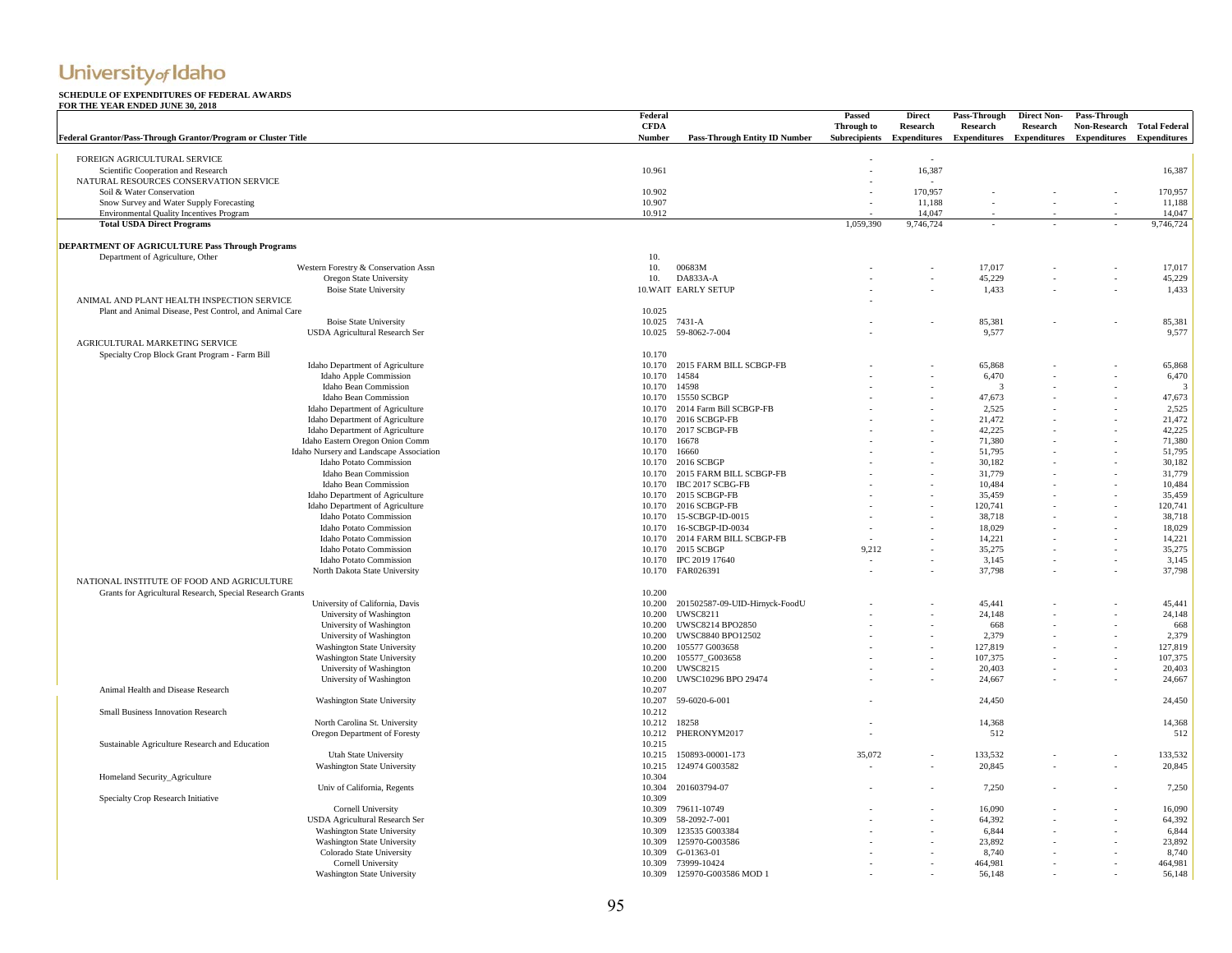|                                                                                      |                                                      | Federal          |                                              | Passed               | <b>Direct</b>       | Pass-Through            | <b>Direct Non-</b>  | Pass-Through |                                  |
|--------------------------------------------------------------------------------------|------------------------------------------------------|------------------|----------------------------------------------|----------------------|---------------------|-------------------------|---------------------|--------------|----------------------------------|
|                                                                                      |                                                      | <b>CFDA</b>      |                                              | Through to           | Research            | Research                | Research            |              | Non-Research Total Federal       |
| Federal Grantor/Pass-Through Grantor/Program or Cluster Title                        |                                                      | Number           | Pass-Through Entity ID Number                | <b>Subrecipients</b> | <b>Expenditures</b> | <b>Expenditures</b>     | <b>Expenditures</b> |              | <b>Expenditures</b> Expenditures |
|                                                                                      |                                                      |                  |                                              |                      |                     |                         |                     |              |                                  |
| FOREIGN AGRICULTURAL SERVICE                                                         |                                                      |                  |                                              |                      |                     |                         |                     |              |                                  |
| Scientific Cooperation and Research                                                  |                                                      | 10.961           |                                              |                      | 16,387              |                         |                     |              | 16.387                           |
| NATURAL RESOURCES CONSERVATION SERVICE                                               |                                                      |                  |                                              |                      | in a                |                         |                     |              |                                  |
| Soil & Water Conservation                                                            |                                                      | 10.902<br>10.907 |                                              |                      | 170,957             |                         |                     |              | 170,957<br>11,188                |
| Snow Survey and Water Supply Forecasting<br>Environmental Quality Incentives Program |                                                      | 10.912           |                                              |                      | 11,188<br>14,047    |                         |                     |              | 14,047                           |
| <b>Total USDA Direct Programs</b>                                                    |                                                      |                  |                                              | 1.059.390            | 9,746,724           | ÷.                      |                     |              | 9,746,724                        |
|                                                                                      |                                                      |                  |                                              |                      |                     |                         |                     |              |                                  |
| DEPARTMENT OF AGRICULTURE Pass Through Programs                                      |                                                      |                  |                                              |                      |                     |                         |                     |              |                                  |
| Department of Agriculture, Other                                                     |                                                      | 10.              |                                              |                      |                     |                         |                     |              |                                  |
|                                                                                      | Western Forestry & Conservation Assn                 | 10.              | 00683M                                       |                      |                     | 17,017                  |                     |              | 17,017                           |
|                                                                                      | Oregon State University                              | 10.              | DA833A-A                                     |                      | $\sim$              | 45,229                  | $\sim$              | $\sim$       | 45,229                           |
|                                                                                      | <b>Boise State University</b>                        |                  | 10. WAIT EARLY SETUP                         |                      |                     | 1.433                   |                     |              | 1,433                            |
| ANIMAL AND PLANT HEALTH INSPECTION SERVICE                                           |                                                      |                  |                                              |                      |                     |                         |                     |              |                                  |
| Plant and Animal Disease, Pest Control, and Animal Care                              |                                                      | 10.025           |                                              |                      |                     |                         |                     |              |                                  |
|                                                                                      | <b>Boise State University</b>                        |                  | 10.025 7431-A                                |                      |                     | 85,381                  |                     |              | 85,381                           |
|                                                                                      | <b>USDA Agricultural Research Ser</b>                | 10.025           | 59-8062-7-004                                |                      |                     | 9,577                   |                     |              | 9,577                            |
| AGRICULTURAL MARKETING SERVICE                                                       |                                                      |                  |                                              |                      |                     |                         |                     |              |                                  |
| Specialty Crop Block Grant Program - Farm Bill                                       |                                                      | 10.170           |                                              |                      |                     |                         |                     |              |                                  |
|                                                                                      | Idaho Department of Agriculture                      | 10.170           | 2015 FARM BILL SCBGP-FB                      |                      |                     | 65,868                  |                     |              | 65,868                           |
|                                                                                      | Idaho Apple Commission                               | 10.170           | 14584                                        |                      |                     | 6,470                   |                     |              | 6,470                            |
|                                                                                      | Idaho Bean Commission<br>Idaho Bean Commission       | 10.170           | 14598                                        |                      |                     | $\overline{\mathbf{3}}$ |                     |              | 3<br>47.673                      |
|                                                                                      | Idaho Department of Agriculture                      | 10.170<br>10.170 | 15550 SCBGP<br>2014 Farm Bill SCBGP-FB       |                      |                     | 47.673<br>2.525         |                     |              | 2,525                            |
|                                                                                      | Idaho Department of Agriculture                      | 10.170           | 2016 SCBGP-FB                                |                      |                     | 21,472                  |                     |              | 21,472                           |
|                                                                                      | Idaho Department of Agriculture                      | 10.170           | 2017 SCBGP-FB                                |                      |                     | 42,225                  |                     |              | 42,225                           |
|                                                                                      | Idaho Eastern Oregon Onion Comm                      | 10.170           | 16678                                        |                      |                     | 71,380                  |                     |              | 71,380                           |
|                                                                                      | Idaho Nursery and Landscape Association              | 10.170           | 16660                                        |                      |                     | 51.795                  |                     |              | 51.795                           |
|                                                                                      | <b>Idaho Potato Commission</b>                       |                  | 10.170 2016 SCBGP                            |                      |                     | 30.182                  |                     |              | 30,182                           |
|                                                                                      | Idaho Bean Commission                                | 10.170           | 2015 FARM BILL SCBGP-FB                      |                      |                     | 31,779                  |                     |              | 31,779                           |
|                                                                                      | Idaho Bean Commission                                | 10.170           | IBC 2017 SCBG-FB                             |                      |                     | 10,484                  |                     |              | 10,484                           |
|                                                                                      | Idaho Department of Agriculture                      | 10.170           | 2015 SCBGP-FB                                |                      |                     | 35,459                  |                     |              | 35,459                           |
|                                                                                      | Idaho Department of Agriculture                      | 10.170           | 2016 SCBGP-FB                                |                      |                     | 120.741                 |                     |              | 120.741                          |
|                                                                                      | <b>Idaho Potato Commission</b>                       | 10.170           | 15-SCBGP-ID-0015                             |                      |                     | 38.718                  |                     |              | 38,718                           |
|                                                                                      | Idaho Potato Commission                              | 10.170           | 16-SCBGP-ID-0034                             |                      |                     | 18,029                  |                     |              | 18,029                           |
|                                                                                      | Idaho Potato Commission                              | 10.170           | 2014 FARM BILL SCBGP-FB                      | $\sim$               |                     | 14,221                  |                     |              | 14,221                           |
|                                                                                      | Idaho Potato Commission                              | 10.170           | 2015 SCBGP                                   | 9,212                |                     | 35,275                  |                     |              | 35,275                           |
|                                                                                      | Idaho Potato Commission                              | 10.170           | IPC 2019 17640                               |                      |                     | 3,145                   |                     |              | 3,145                            |
|                                                                                      | North Dakota State University                        | 10.170           | FAR026391                                    |                      |                     | 37,798                  |                     |              | 37,798                           |
| NATIONAL INSTITUTE OF FOOD AND AGRICULTURE                                           |                                                      |                  |                                              |                      |                     |                         |                     |              |                                  |
| Grants for Agricultural Research, Special Research Grants                            |                                                      | 10.200           |                                              |                      |                     |                         |                     |              |                                  |
|                                                                                      | University of California, Davis                      | 10.200           | 201502587-09-UID-Hirnyck-FoodU               |                      |                     | 45,441                  |                     |              | 45,441                           |
|                                                                                      | University of Washington                             | 10.200           | <b>UWSC8211</b>                              |                      |                     | 24,148                  |                     |              | 24,148                           |
|                                                                                      | University of Washington<br>University of Washington | 10.200<br>10.200 | <b>UWSC8214 BPO2850</b><br>UWSC8840 BPO12502 |                      |                     | 668<br>2.379            |                     |              | 668<br>2.379                     |
|                                                                                      | Washington State University                          | 10.200           | 105577 G003658                               |                      |                     | 127,819                 |                     |              | 127,819                          |
|                                                                                      | Washington State University                          | 10.200           | 105577_G003658                               |                      |                     | 107,375                 |                     |              | 107,375                          |
|                                                                                      | University of Washington                             | 10.200           | <b>UWSC8215</b>                              |                      |                     | 20,403                  |                     |              | 20,403                           |
|                                                                                      | University of Washington                             | 10.200           | UWSC10296 BPO 29474                          |                      |                     | 24,667                  |                     |              | 24,667                           |
| Animal Health and Disease Research                                                   |                                                      | 10.207           |                                              |                      |                     |                         |                     |              |                                  |
|                                                                                      | Washington State University                          | 10.207           | 59-6020-6-001                                |                      |                     | 24,450                  |                     |              | 24,450                           |
| Small Business Innovation Research                                                   |                                                      | 10.212           |                                              |                      |                     |                         |                     |              |                                  |
|                                                                                      | North Carolina St. University                        | 10.212           | 18258                                        |                      |                     | 14,368                  |                     |              | 14,368                           |
|                                                                                      | Oregon Department of Foresty                         | 10.212           | PHERONYM2017                                 |                      |                     | 512                     |                     |              | 512                              |
| Sustainable Agriculture Research and Education                                       |                                                      | 10.215           |                                              |                      |                     |                         |                     |              |                                  |
|                                                                                      | Utah State University                                | 10.215           | 150893-00001-173                             | 35,072               |                     | 133,532                 |                     |              | 133,532                          |
|                                                                                      | Washington State University                          | 10.215           | 124974 G003582                               | $\sim$               |                     | 20,845                  |                     |              | 20,845                           |
| Homeland Security_Agriculture                                                        |                                                      | 10.304           |                                              |                      |                     |                         |                     |              |                                  |
|                                                                                      | Univ of California, Regents                          | 10.304           | 201603794-07                                 |                      |                     | 7,250                   |                     |              | 7,250                            |
| Specialty Crop Research Initiative                                                   |                                                      | 10.309           |                                              |                      |                     |                         |                     |              |                                  |
|                                                                                      | Cornell University                                   | 10.309           | 79611-10749                                  |                      |                     | 16,090                  |                     |              | 16,090                           |
|                                                                                      | <b>USDA Agricultural Research Ser</b>                | 10.309           | 58-2092-7-001                                |                      |                     | 64,392                  |                     |              | 64,392                           |
|                                                                                      | Washington State University                          | 10.309           | 123535 G003384                               |                      |                     | 6,844                   |                     |              | 6,844                            |
|                                                                                      | <b>Washington State University</b>                   | 10.309           | 125970-G003586                               |                      |                     | 23,892                  |                     |              | 23,892                           |
|                                                                                      | Colorado State University                            | 10.309           | G-01363-01                                   |                      |                     | 8,740                   |                     |              | 8,740                            |
|                                                                                      | Cornell University                                   | 10.309           | 73999-10424                                  |                      |                     | 464,981                 |                     |              | 464,981                          |
|                                                                                      | Washington State University                          | 10.309           | 125970-G003586 MOD 1                         |                      |                     | 56,148                  |                     |              | 56,148                           |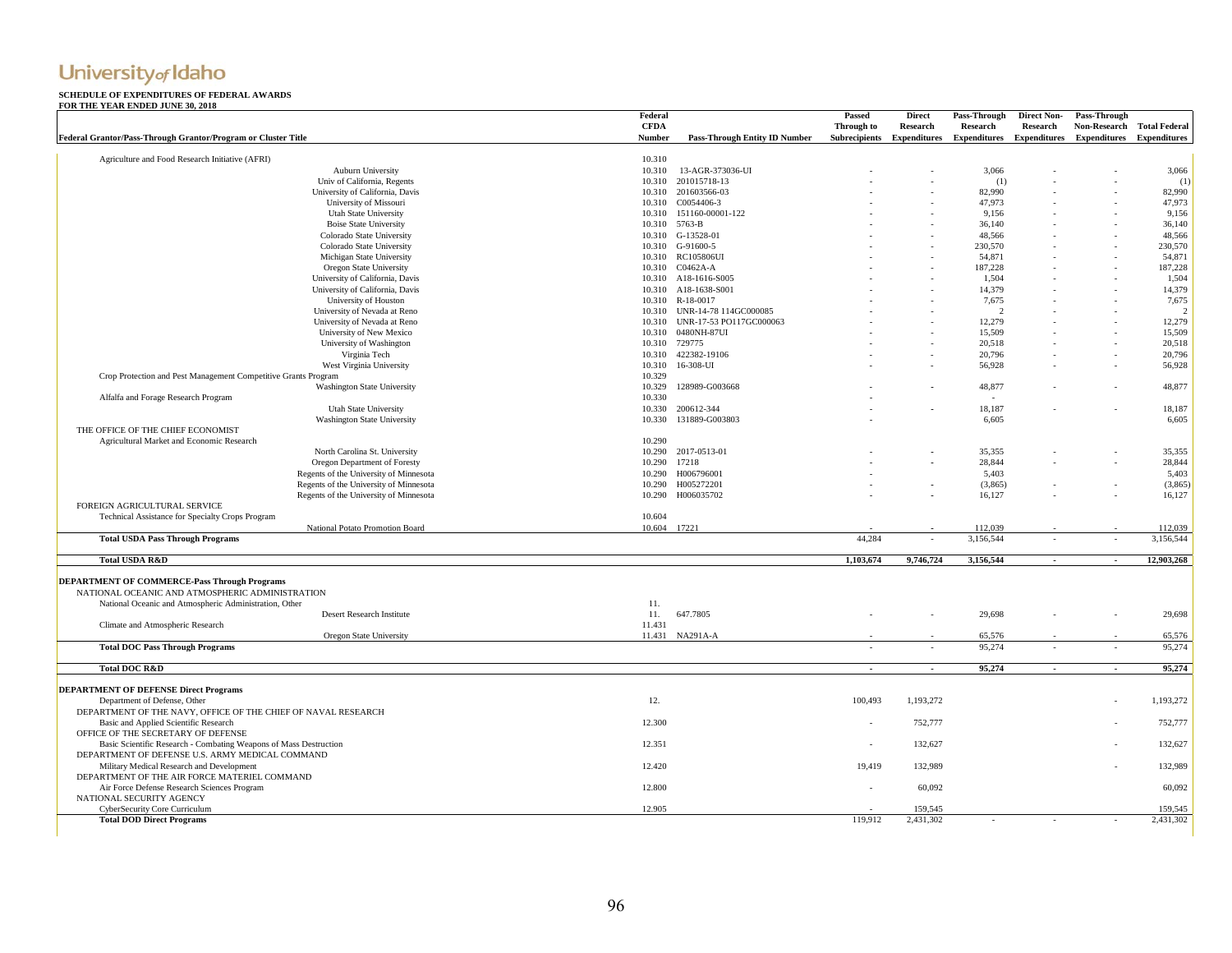| FOR THE TEAR ENDED JUNE 50,<br>Federal Grantor/Pass-Through Grantor/Program or Cluster Title                                                                     | Federal<br><b>CFDA</b><br>Number | Pass-Through Entity ID Number       | Passed<br>Through to<br><b>Subrecipients</b> | <b>Direct</b><br>Research | Pass-Through<br><b>Research</b><br>Expenditures Expenditures Expenditures Expenditures Expenditures | <b>Direct Non-</b><br>Research | Pass-Through | Non-Research Total Federal |
|------------------------------------------------------------------------------------------------------------------------------------------------------------------|----------------------------------|-------------------------------------|----------------------------------------------|---------------------------|-----------------------------------------------------------------------------------------------------|--------------------------------|--------------|----------------------------|
|                                                                                                                                                                  |                                  |                                     |                                              |                           |                                                                                                     |                                |              |                            |
| Agriculture and Food Research Initiative (AFRI)                                                                                                                  | 10.310                           |                                     |                                              |                           |                                                                                                     |                                |              |                            |
| Auburn University                                                                                                                                                | 10.310                           | 13-AGR-373036-UI                    |                                              |                           | 3,066                                                                                               |                                |              | 3,066                      |
| Univ of California, Regents<br>University of California, Davis                                                                                                   | 10.310                           | 10.310 201015718-13<br>201603566-03 |                                              |                           | (1)<br>82,990                                                                                       |                                |              | (1)<br>82,990              |
| University of Missouri                                                                                                                                           | 10.310                           | C0054406-3                          |                                              |                           | 47,973                                                                                              |                                |              | 47,973                     |
| <b>Utah State University</b>                                                                                                                                     | 10.310                           | 151160-00001-122                    |                                              |                           | 9,156                                                                                               |                                |              | 9,156                      |
| <b>Boise State University</b>                                                                                                                                    | 10.310                           | 5763-B                              |                                              |                           | 36,140                                                                                              |                                |              | 36,140                     |
| Colorado State University                                                                                                                                        | 10.310                           | G-13528-01                          |                                              |                           | 48,566                                                                                              |                                |              | 48,566                     |
| Colorado State University                                                                                                                                        | 10.310                           | G-91600-5                           |                                              |                           | 230,570                                                                                             |                                |              | 230,570                    |
| Michigan State University                                                                                                                                        | 10.310                           | RC105806UI                          |                                              |                           | 54,871                                                                                              |                                |              | 54,871                     |
| Oregon State University                                                                                                                                          |                                  | 10.310 C0462A-A                     |                                              |                           | 187,228                                                                                             |                                |              | 187,228                    |
| University of California, Davis                                                                                                                                  |                                  | 10.310 A18-1616-S005                |                                              |                           | 1,504                                                                                               |                                |              | 1,504                      |
| University of California, Davis                                                                                                                                  |                                  | 10.310 A18-1638-S001                |                                              |                           | 14,379                                                                                              |                                |              | 14,379                     |
| University of Houston                                                                                                                                            | 10.310                           | R-18-0017                           |                                              |                           | 7,675                                                                                               |                                |              | 7,675                      |
| University of Nevada at Reno                                                                                                                                     | 10.310                           | UNR-14-78 114GC000085               |                                              |                           | 2                                                                                                   |                                |              | -2                         |
| University of Nevada at Reno                                                                                                                                     |                                  | 10.310 UNR-17-53 PO117GC000063      |                                              |                           | 12.279                                                                                              |                                |              | 12,279                     |
| University of New Mexico                                                                                                                                         | 10.310                           | 0480NH-87UI                         |                                              |                           | 15,509                                                                                              |                                |              | 15,509                     |
| University of Washington                                                                                                                                         | 10.310 729775                    |                                     |                                              |                           | 20,518                                                                                              |                                |              | 20,518                     |
| Virginia Tech                                                                                                                                                    | 10.310                           | 422382-19106                        |                                              |                           | 20,796                                                                                              |                                |              | 20,796                     |
| West Virginia University                                                                                                                                         |                                  | 10.310 16-308-UI                    |                                              |                           | 56,928                                                                                              |                                |              | 56,928                     |
| Crop Protection and Pest Management Competitive Grants Program                                                                                                   | 10.329                           |                                     |                                              |                           |                                                                                                     |                                |              |                            |
| <b>Washington State University</b>                                                                                                                               | 10.329                           | 128989-G003668                      |                                              |                           | 48,877                                                                                              |                                |              | 48,877                     |
| Alfalfa and Forage Research Program                                                                                                                              | 10.330                           |                                     |                                              |                           | $\sim$                                                                                              |                                |              |                            |
| Utah State University                                                                                                                                            | 10.330                           | 200612-344                          |                                              |                           | 18,187                                                                                              |                                |              | 18,187                     |
| Washington State University                                                                                                                                      | 10.330                           | 131889-G003803                      |                                              |                           | 6,605                                                                                               |                                |              | 6,605                      |
| THE OFFICE OF THE CHIEF ECONOMIST                                                                                                                                | 10.290                           |                                     |                                              |                           |                                                                                                     |                                |              |                            |
| Agricultural Market and Economic Research<br>North Carolina St. University                                                                                       | 10.290                           | 2017-0513-01                        |                                              |                           | 35,355                                                                                              |                                |              | 35,355                     |
| Oregon Department of Foresty                                                                                                                                     | 10.290                           | 17218                               |                                              |                           | 28,844                                                                                              |                                |              | 28,844                     |
| Regents of the University of Minnesota                                                                                                                           | 10.290                           | H006796001                          |                                              |                           | 5,403                                                                                               |                                |              | 5,403                      |
| Regents of the University of Minnesota                                                                                                                           |                                  | 10.290 H005272201                   |                                              |                           | (3,865)                                                                                             |                                |              | (3,865)                    |
| Regents of the University of Minnesota                                                                                                                           | 10.290                           | H006035702                          |                                              |                           | 16,127                                                                                              |                                |              | 16,127                     |
| FOREIGN AGRICULTURAL SERVICE                                                                                                                                     |                                  |                                     |                                              |                           |                                                                                                     |                                |              |                            |
| Technical Assistance for Specialty Crops Program                                                                                                                 | 10.604                           |                                     |                                              |                           |                                                                                                     |                                |              |                            |
| National Potato Promotion Board                                                                                                                                  | 10.604 17221                     |                                     |                                              |                           | 112.039                                                                                             |                                |              | 112,039                    |
| <b>Total USDA Pass Through Programs</b>                                                                                                                          |                                  |                                     | 44,284                                       |                           | 3,156,544                                                                                           | $\bar{a}$                      |              | 3,156,544                  |
| <b>Total USDA R&amp;D</b>                                                                                                                                        |                                  |                                     | 1.103.674                                    | 9,746,724                 | 3.156.544                                                                                           | $\sim$                         | $\sim$       | 12,903,268                 |
| <b>DEPARTMENT OF COMMERCE-Pass Through Programs</b><br>NATIONAL OCEANIC AND ATMOSPHERIC ADMINISTRATION<br>National Oceanic and Atmospheric Administration, Other | 11.                              |                                     |                                              |                           |                                                                                                     |                                |              |                            |
| Desert Research Institute                                                                                                                                        | 11.                              | 647.7805                            |                                              |                           | 29,698                                                                                              |                                |              | 29,698                     |
| Climate and Atmospheric Research<br>Oregon State University                                                                                                      | 11.431                           | 11.431 NA291A-A                     |                                              |                           | 65.576                                                                                              |                                |              | 65,576                     |
| <b>Total DOC Pass Through Programs</b>                                                                                                                           |                                  |                                     | $\sim$                                       | $\sim$                    | 95,274                                                                                              | $\sim$                         | $\sim$       | 95,274                     |
|                                                                                                                                                                  |                                  |                                     |                                              |                           |                                                                                                     |                                |              |                            |
| <b>Total DOC R&amp;D</b>                                                                                                                                         |                                  |                                     |                                              |                           | 95,274                                                                                              |                                |              | 95,274                     |
| <b>DEPARTMENT OF DEFENSE Direct Programs</b>                                                                                                                     |                                  |                                     |                                              |                           |                                                                                                     |                                |              |                            |
| Department of Defense, Other                                                                                                                                     | 12.                              |                                     | 100,493                                      | 1,193,272                 |                                                                                                     |                                |              | 1,193,272                  |
| DEPARTMENT OF THE NAVY, OFFICE OF THE CHIEF OF NAVAL RESEARCH                                                                                                    |                                  |                                     |                                              |                           |                                                                                                     |                                |              |                            |
| Basic and Applied Scientific Research                                                                                                                            | 12.300                           |                                     | $\sim$                                       | 752,777                   |                                                                                                     |                                |              | 752,777                    |
| OFFICE OF THE SECRETARY OF DEFENSE                                                                                                                               |                                  |                                     |                                              |                           |                                                                                                     |                                |              |                            |
| Basic Scientific Research - Combating Weapons of Mass Destruction                                                                                                | 12.351                           |                                     |                                              | 132,627                   |                                                                                                     |                                |              | 132,627                    |
| DEPARTMENT OF DEFENSE U.S. ARMY MEDICAL COMMAND                                                                                                                  |                                  |                                     |                                              |                           |                                                                                                     |                                |              |                            |
| Military Medical Research and Development                                                                                                                        | 12.420                           |                                     | 19,419                                       | 132,989                   |                                                                                                     |                                |              | 132.989                    |
| DEPARTMENT OF THE AIR FORCE MATERIEL COMMAND                                                                                                                     |                                  |                                     |                                              |                           |                                                                                                     |                                |              |                            |
| Air Force Defense Research Sciences Program<br>NATIONAL SECURITY AGENCY                                                                                          | 12.800                           |                                     |                                              | 60,092                    |                                                                                                     |                                |              | 60,092                     |
| CyberSecurity Core Curriculum                                                                                                                                    | 12.905                           |                                     |                                              | 159.545                   |                                                                                                     |                                |              | 159.545                    |
| <b>Total DOD Direct Programs</b>                                                                                                                                 |                                  |                                     | 119,912                                      | 2,431,302                 |                                                                                                     |                                |              | 2,431,302                  |
|                                                                                                                                                                  |                                  |                                     |                                              |                           |                                                                                                     |                                |              |                            |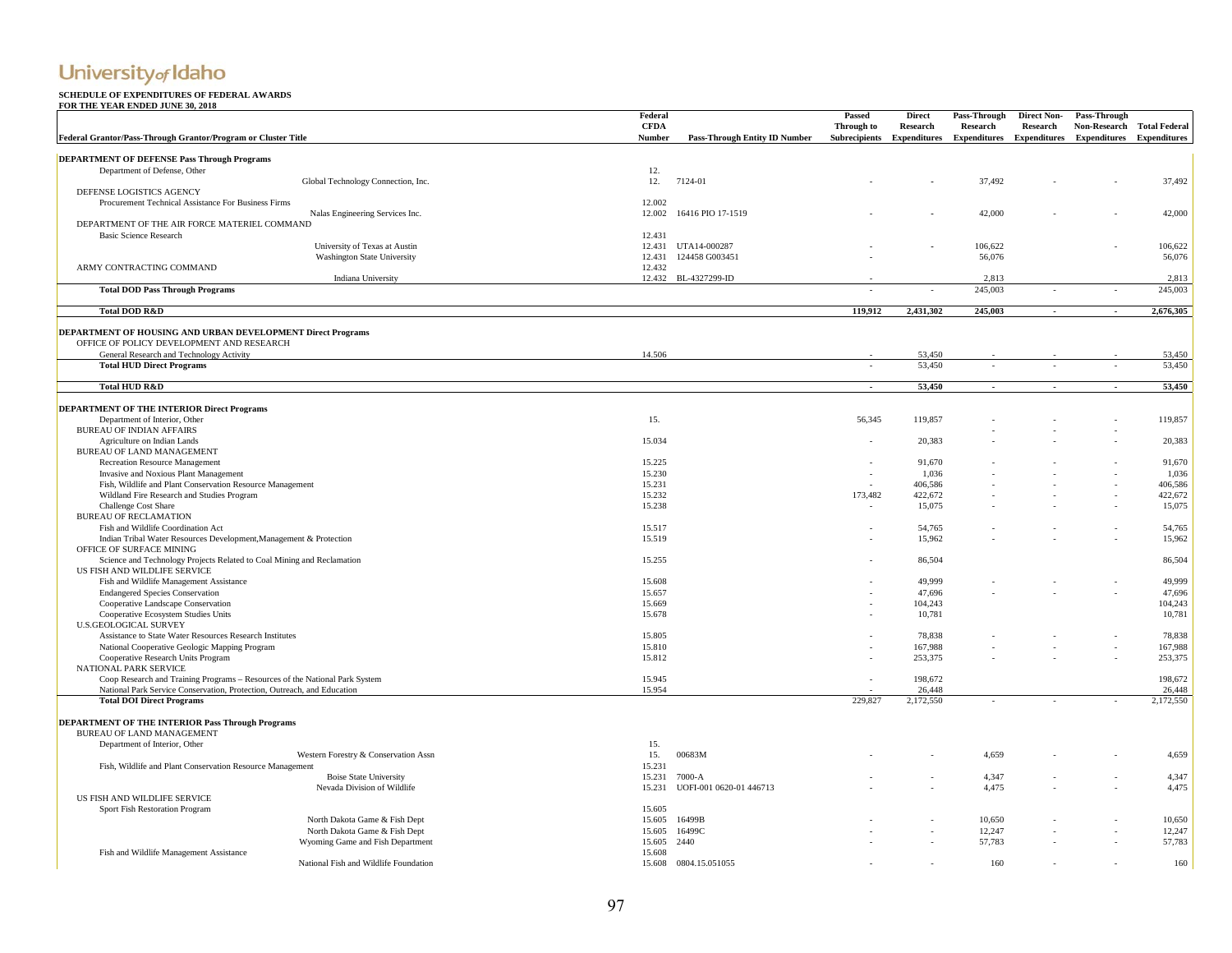| гов тие теав еврер тове зо<br>Federal Grantor/Pass-Through Grantor/Program or Cluster Title                                                            | Federal<br><b>CFDA</b><br>Number | <b>Pass-Through Entity ID Number</b> | Passed<br>Through to | <b>Direct</b><br>Research | Pass-Through<br><b>Research</b><br>Subrecipients Expenditures Expenditures Expenditures Expenditures Expenditures | <b>Direct Non-</b><br>Research | Pass-Through | Non-Research Total Federal |
|--------------------------------------------------------------------------------------------------------------------------------------------------------|----------------------------------|--------------------------------------|----------------------|---------------------------|-------------------------------------------------------------------------------------------------------------------|--------------------------------|--------------|----------------------------|
|                                                                                                                                                        |                                  |                                      |                      |                           |                                                                                                                   |                                |              |                            |
| <b>DEPARTMENT OF DEFENSE Pass Through Programs</b>                                                                                                     |                                  |                                      |                      |                           |                                                                                                                   |                                |              |                            |
| Department of Defense, Other<br>Global Technology Connection, Inc.                                                                                     | 12.<br>12.                       | 7124-01                              |                      |                           | 37,492                                                                                                            |                                |              | 37,492                     |
| DEFENSE LOGISTICS AGENCY                                                                                                                               |                                  |                                      |                      |                           |                                                                                                                   |                                |              |                            |
| Procurement Technical Assistance For Business Firms                                                                                                    | 12.002                           |                                      |                      |                           |                                                                                                                   |                                |              |                            |
| Nalas Engineering Services Inc.                                                                                                                        | 12.002                           | 16416 PIO 17-1519                    |                      |                           | 42,000                                                                                                            |                                |              | 42,000                     |
| DEPARTMENT OF THE AIR FORCE MATERIEL COMMAND<br><b>Basic Science Research</b>                                                                          | 12.431                           |                                      |                      |                           |                                                                                                                   |                                |              |                            |
| University of Texas at Austin                                                                                                                          |                                  | 12.431 UTA14-000287                  |                      |                           | 106,622                                                                                                           |                                |              | 106,622                    |
| Washington State University                                                                                                                            | 12.431                           | 124458 G003451                       |                      |                           | 56,076                                                                                                            |                                |              | 56,076                     |
| ARMY CONTRACTING COMMAND                                                                                                                               | 12.432                           |                                      |                      |                           |                                                                                                                   |                                |              |                            |
| Indiana University<br><b>Total DOD Pass Through Programs</b>                                                                                           | 12.432                           | BL-4327299-ID                        |                      |                           | 2,813<br>245,003                                                                                                  |                                |              | 2,813<br>245,003           |
|                                                                                                                                                        |                                  |                                      |                      |                           |                                                                                                                   |                                |              |                            |
| <b>Total DOD R&amp;D</b>                                                                                                                               |                                  |                                      | 119.912              | 2.431.302                 | 245,003                                                                                                           |                                |              | 2,676,305                  |
| DEPARTMENT OF HOUSING AND URBAN DEVELOPMENT Direct Programs<br>OFFICE OF POLICY DEVELOPMENT AND RESEARCH                                               |                                  |                                      |                      |                           |                                                                                                                   |                                |              |                            |
| General Research and Technology Activity                                                                                                               | 14.506                           |                                      |                      | 53,450                    |                                                                                                                   |                                |              | 53,450                     |
| <b>Total HUD Direct Programs</b>                                                                                                                       |                                  |                                      |                      | 53,450                    |                                                                                                                   |                                |              | 53,450                     |
| <b>Total HUD R&amp;D</b>                                                                                                                               |                                  |                                      |                      | 53,450                    |                                                                                                                   |                                |              | 53,450                     |
|                                                                                                                                                        |                                  |                                      |                      |                           |                                                                                                                   |                                |              |                            |
| DEPARTMENT OF THE INTERIOR Direct Programs                                                                                                             | 15.                              |                                      | 56,345               |                           |                                                                                                                   |                                |              | 119,857                    |
| Department of Interior, Other<br><b>BUREAU OF INDIAN AFFAIRS</b>                                                                                       |                                  |                                      |                      | 119,857                   |                                                                                                                   |                                |              |                            |
| Agriculture on Indian Lands                                                                                                                            | 15.034                           |                                      |                      | 20,383                    |                                                                                                                   |                                |              | 20,383                     |
| BUREAU OF LAND MANAGEMENT                                                                                                                              |                                  |                                      |                      |                           |                                                                                                                   |                                |              |                            |
| <b>Recreation Resource Management</b>                                                                                                                  | 15.225                           |                                      | $\sim$               | 91,670                    |                                                                                                                   |                                |              | 91,670                     |
| Invasive and Noxious Plant Management<br>Fish, Wildlife and Plant Conservation Resource Management                                                     | 15.230<br>15.231                 |                                      |                      | 1,036<br>406,586          |                                                                                                                   |                                |              | 1,036<br>406,586           |
| Wildland Fire Research and Studies Program                                                                                                             | 15.232                           |                                      | 173,482              | 422,672                   |                                                                                                                   |                                |              | 422,672                    |
| Challenge Cost Share                                                                                                                                   | 15.238                           |                                      | in a                 | 15,075                    |                                                                                                                   |                                |              | 15,075                     |
| <b>BUREAU OF RECLAMATION</b>                                                                                                                           |                                  |                                      |                      |                           |                                                                                                                   |                                |              |                            |
| Fish and Wildlife Coordination Act                                                                                                                     | 15.517                           |                                      |                      | 54,765                    |                                                                                                                   |                                |              | 54,765                     |
| Indian Tribal Water Resources Development, Management & Protection                                                                                     | 15.519                           |                                      |                      | 15.962                    |                                                                                                                   |                                |              | 15.962                     |
| OFFICE OF SURFACE MINING<br>Science and Technology Projects Related to Coal Mining and Reclamation                                                     | 15.255                           |                                      |                      | 86,504                    |                                                                                                                   |                                |              | 86,504                     |
| US FISH AND WILDLIFE SERVICE                                                                                                                           |                                  |                                      |                      |                           |                                                                                                                   |                                |              |                            |
| Fish and Wildlife Management Assistance                                                                                                                | 15.608                           |                                      |                      | 49,999                    |                                                                                                                   |                                |              | 49,999                     |
| <b>Endangered Species Conservation</b>                                                                                                                 | 15.657                           |                                      |                      | 47.696                    |                                                                                                                   |                                |              | 47,696                     |
| Cooperative Landscape Conservation                                                                                                                     | 15.669                           |                                      |                      | 104,243                   |                                                                                                                   |                                |              | 104,243                    |
| Cooperative Ecosystem Studies Units<br>U.S.GEOLOGICAL SURVEY                                                                                           | 15.678                           |                                      |                      | 10,781                    |                                                                                                                   |                                |              | 10,781                     |
| Assistance to State Water Resources Research Institutes                                                                                                | 15.805                           |                                      |                      | 78,838                    |                                                                                                                   |                                |              | 78,838                     |
| National Cooperative Geologic Mapping Program                                                                                                          | 15.810                           |                                      |                      | 167,988                   |                                                                                                                   |                                |              | 167,988                    |
| Cooperative Research Units Program                                                                                                                     | 15.812                           |                                      |                      | 253,375                   |                                                                                                                   |                                |              | 253,375                    |
| NATIONAL PARK SERVICE                                                                                                                                  | 15.945                           |                                      |                      |                           |                                                                                                                   |                                |              |                            |
| Coop Research and Training Programs - Resources of the National Park System<br>National Park Service Conservation, Protection, Outreach, and Education | 15.954                           |                                      |                      | 198,672<br>26,448         |                                                                                                                   |                                |              | 198,672<br>26,448          |
| <b>Total DOI Direct Programs</b>                                                                                                                       |                                  |                                      | 229,827              | 2,172,550                 |                                                                                                                   |                                |              | 2,172,550                  |
| DEPARTMENT OF THE INTERIOR Pass Through Programs<br>BUREAU OF LAND MANAGEMENT                                                                          |                                  |                                      |                      |                           |                                                                                                                   |                                |              |                            |
| Department of Interior, Other                                                                                                                          | 15.                              |                                      |                      |                           |                                                                                                                   |                                |              |                            |
| Western Forestry & Conservation Assn                                                                                                                   | 15.                              | 00683M                               |                      |                           | 4,659                                                                                                             |                                |              | 4,659                      |
| Fish, Wildlife and Plant Conservation Resource Management                                                                                              | 15.231                           |                                      |                      |                           |                                                                                                                   |                                |              |                            |
| <b>Boise State University</b><br>Nevada Division of Wildlife                                                                                           | 15.231<br>15.231                 | 7000-A<br>UOFI-001 0620-01 446713    |                      |                           | 4,347<br>4,475                                                                                                    |                                |              | 4,347<br>4,475             |
| US FISH AND WILDLIFE SERVICE                                                                                                                           |                                  |                                      |                      |                           |                                                                                                                   |                                |              |                            |
| Sport Fish Restoration Program                                                                                                                         | 15.605                           |                                      |                      |                           |                                                                                                                   |                                |              |                            |
| North Dakota Game & Fish Dept                                                                                                                          | 15.605                           | 16499B                               |                      |                           | 10,650                                                                                                            |                                |              | 10,650                     |
| North Dakota Game & Fish Dept                                                                                                                          | 15.605                           | 16499C                               |                      |                           | 12,247                                                                                                            |                                |              | 12,247                     |
| Wyoming Game and Fish Department                                                                                                                       | 15.605                           | 2440                                 |                      |                           | 57,783                                                                                                            |                                |              | 57,783                     |
| Fish and Wildlife Management Assistance                                                                                                                | 15.608                           |                                      |                      |                           |                                                                                                                   |                                |              |                            |
| National Fish and Wildlife Foundation                                                                                                                  |                                  | 15.608 0804.15.051055                |                      |                           | 160                                                                                                               |                                |              | 160                        |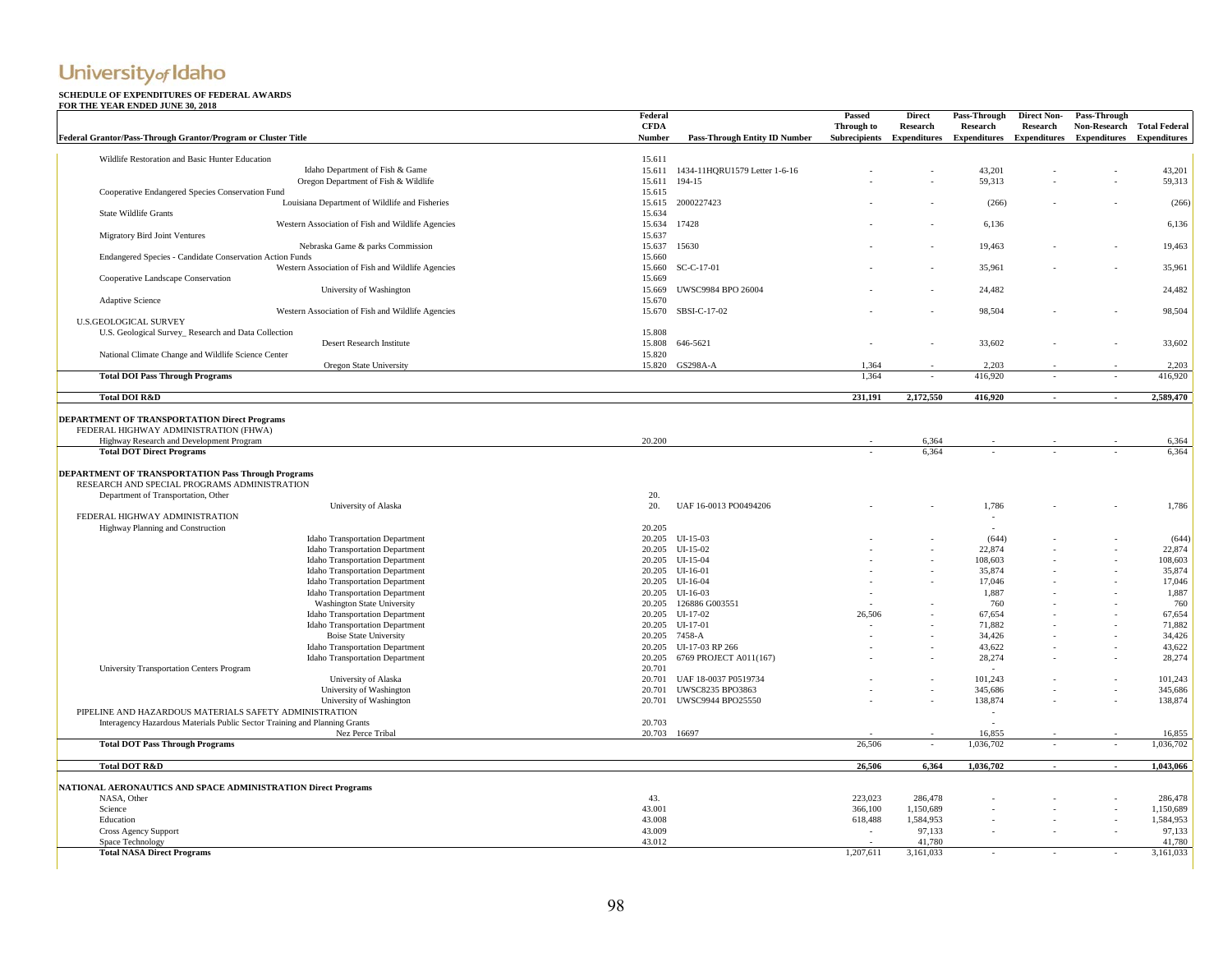#### **SCHEDULE OF EXPENDITURES OF FEDERAL AWARDS**

| <b>FOR THE YEAR ENDED JUNE 30, 2018</b><br>Federal Grantor/Pass-Through Grantor/Program or Cluster Title                                         | Federal<br><b>CFDA</b><br><b>Number</b> | Pass-Through Entity ID Number        | Passed<br>Through to<br><b>Subrecipients</b> | <b>Direct</b><br>Research | Pass-Through<br>Research<br>Expenditures Expenditures Expenditures Expenditures Expenditures | <b>Direct Non-</b><br>Research | Pass-Through | Non-Research Total Federal |
|--------------------------------------------------------------------------------------------------------------------------------------------------|-----------------------------------------|--------------------------------------|----------------------------------------------|---------------------------|----------------------------------------------------------------------------------------------|--------------------------------|--------------|----------------------------|
|                                                                                                                                                  |                                         |                                      |                                              |                           |                                                                                              |                                |              |                            |
| Wildlife Restoration and Basic Hunter Education                                                                                                  | 15.611                                  |                                      |                                              |                           |                                                                                              |                                |              |                            |
| Idaho Department of Fish & Game                                                                                                                  |                                         | 15.611 1434-11HQRU1579 Letter 1-6-16 |                                              |                           | 43,201                                                                                       |                                |              | 43,201                     |
| Oregon Department of Fish & Wildlife<br>Cooperative Endangered Species Conservation Fund                                                         | 15.611 194-15<br>15.615                 |                                      |                                              |                           | 59,313                                                                                       |                                |              | 59,313                     |
| Louisiana Department of Wildlife and Fisheries                                                                                                   | 15.615                                  | 2000227423                           |                                              |                           | (266)                                                                                        |                                |              | (266)                      |
| <b>State Wildlife Grants</b>                                                                                                                     | 15.634                                  |                                      |                                              |                           |                                                                                              |                                |              |                            |
| Western Association of Fish and Wildlife Agencies                                                                                                | 15.634                                  | 17428                                |                                              |                           | 6,136                                                                                        |                                |              | 6,136                      |
| Migratory Bird Joint Ventures                                                                                                                    | 15.637                                  |                                      |                                              |                           |                                                                                              |                                |              |                            |
| Nebraska Game & parks Commission                                                                                                                 | 15.637                                  | 15630                                |                                              |                           | 19,463                                                                                       |                                |              | 19,463                     |
| Endangered Species - Candidate Conservation Action Funds                                                                                         | 15.660                                  |                                      |                                              |                           |                                                                                              |                                |              |                            |
| Western Association of Fish and Wildlife Agencies                                                                                                | 15.660                                  | SC-C-17-01                           |                                              |                           | 35,961                                                                                       |                                |              | 35,961                     |
| Cooperative Landscape Conservation                                                                                                               | 15.669                                  |                                      |                                              |                           |                                                                                              |                                |              |                            |
| University of Washington                                                                                                                         | 15.669                                  | UWSC9984 BPO 26004                   |                                              |                           | 24,482                                                                                       |                                |              | 24,482                     |
| Adaptive Science                                                                                                                                 | 15.670                                  |                                      |                                              |                           |                                                                                              |                                |              |                            |
| Western Association of Fish and Wildlife Agencies                                                                                                | 15.670                                  | SBSI-C-17-02                         |                                              |                           | 98,504                                                                                       |                                |              | 98,504                     |
| <b>U.S.GEOLOGICAL SURVEY</b>                                                                                                                     |                                         |                                      |                                              |                           |                                                                                              |                                |              |                            |
| U.S. Geological Survey_ Research and Data Collection                                                                                             | 15.808                                  |                                      |                                              |                           |                                                                                              |                                |              |                            |
| Desert Research Institute                                                                                                                        | 15.808                                  | 646-5621                             |                                              |                           | 33,602                                                                                       |                                |              | 33,602                     |
| National Climate Change and Wildlife Science Center                                                                                              | 15.820                                  |                                      |                                              |                           |                                                                                              |                                |              |                            |
| Oregon State University                                                                                                                          | 15.820                                  | GS298A-A                             | 1.364                                        |                           | 2.203                                                                                        |                                |              | 2.203                      |
| <b>Total DOI Pass Through Programs</b>                                                                                                           |                                         |                                      | 1.364                                        |                           | 416,920                                                                                      |                                |              | 416,920                    |
|                                                                                                                                                  |                                         |                                      |                                              |                           |                                                                                              |                                |              |                            |
| <b>Total DOI R&amp;D</b>                                                                                                                         |                                         |                                      | 231,191                                      | 2,172,550                 | 416,920                                                                                      | $\sim$                         | $\sim$       | 2,589,470                  |
| <b>DEPARTMENT OF TRANSPORTATION Direct Programs</b><br>FEDERAL HIGHWAY ADMINISTRATION (FHWA)                                                     |                                         |                                      |                                              |                           |                                                                                              |                                |              |                            |
| Highway Research and Development Program<br><b>Total DOT Direct Programs</b>                                                                     | 20.200                                  |                                      |                                              | 6,364<br>6.364            | $\sim$                                                                                       |                                |              | 6,364<br>6,364             |
| <b>DEPARTMENT OF TRANSPORTATION Pass Through Programs</b><br>RESEARCH AND SPECIAL PROGRAMS ADMINISTRATION<br>Department of Transportation, Other | 20.                                     |                                      |                                              |                           |                                                                                              |                                |              |                            |
| University of Alaska                                                                                                                             | 20.                                     | UAF 16-0013 PO0494206                |                                              |                           | 1,786                                                                                        |                                |              | 1,786                      |
| FEDERAL HIGHWAY ADMINISTRATION                                                                                                                   | 20.205                                  |                                      |                                              |                           |                                                                                              |                                |              |                            |
| Highway Planning and Construction<br>Idaho Transportation Department                                                                             | 20.205                                  | UI-15-03                             |                                              |                           | (644)                                                                                        |                                |              | (644)                      |
| <b>Idaho Transportation Department</b>                                                                                                           | 20.205                                  | $UI-15-02$                           |                                              |                           | 22,874                                                                                       |                                |              | 22,874                     |
| <b>Idaho Transportation Department</b>                                                                                                           | 20.205                                  | UI-15-04                             |                                              |                           | 108,603                                                                                      |                                |              | 108,603                    |
| Idaho Transportation Department                                                                                                                  | 20.205                                  | UI-16-01                             |                                              |                           | 35,874                                                                                       |                                |              | 35,874                     |
| Idaho Transportation Department                                                                                                                  | 20.205                                  | UI-16-04                             |                                              |                           | 17,046                                                                                       |                                |              | 17,046                     |
| <b>Idaho Transportation Department</b>                                                                                                           | 20.205                                  | $UI-16-03$                           |                                              |                           | 1,887                                                                                        |                                |              | 1,887                      |
| Washington State University                                                                                                                      | 20.205                                  | 126886 G003551                       |                                              |                           | 760                                                                                          |                                |              | 760                        |
| Idaho Transportation Department                                                                                                                  | 20.205                                  | UI-17-02                             | 26,506                                       |                           | 67,654                                                                                       |                                |              | 67,654                     |
| Idaho Transportation Department                                                                                                                  | 20.205                                  | UI-17-01                             |                                              |                           | 71,882                                                                                       |                                |              | 71,882                     |
| <b>Boise State University</b>                                                                                                                    | 20.205                                  | 7458-A                               |                                              |                           | 34,426                                                                                       |                                |              | 34,426                     |
| <b>Idaho Transportation Department</b>                                                                                                           |                                         | 20.205 UI-17-03 RP 266               |                                              |                           | 43,622                                                                                       |                                |              | 43,622                     |
| Idaho Transportation Department                                                                                                                  | 20.205                                  | 6769 PROJECT A011(167)               |                                              |                           | 28,274                                                                                       |                                |              | 28,274                     |
| University Transportation Centers Program                                                                                                        | 20.701                                  |                                      |                                              |                           |                                                                                              |                                |              |                            |
| University of Alaska                                                                                                                             | 20.701                                  | UAF 18-0037 P0519734                 |                                              |                           | 101,243                                                                                      |                                |              | 101,243                    |
| University of Washington                                                                                                                         | 20.701                                  | UWSC8235 BPO3863                     |                                              |                           | 345,686                                                                                      |                                |              | 345,686                    |
| University of Washington                                                                                                                         | 20.701                                  | UWSC9944 BPO25550                    |                                              |                           | 138,874                                                                                      |                                |              | 138,874                    |
| PIPELINE AND HAZARDOUS MATERIALS SAFETY ADMINISTRATION                                                                                           |                                         |                                      |                                              |                           |                                                                                              |                                |              |                            |
| Interagency Hazardous Materials Public Sector Training and Planning Grants                                                                       | 20.703                                  |                                      |                                              |                           |                                                                                              |                                |              |                            |
| Nez Perce Tribal                                                                                                                                 | 20.703                                  | 16697                                |                                              |                           | 16,855                                                                                       |                                |              | 16,855                     |
| <b>Total DOT Pass Through Programs</b>                                                                                                           |                                         |                                      | 26.506                                       |                           | 1,036,702                                                                                    |                                |              | 1,036,702                  |
| <b>Total DOT R&amp;D</b>                                                                                                                         |                                         |                                      | 26,506                                       | 6,364                     | 1,036,702                                                                                    |                                |              | 1,043,066                  |
|                                                                                                                                                  |                                         |                                      |                                              |                           |                                                                                              |                                |              |                            |
| <b>NATIONAL AERONAUTICS AND SPACE ADMINISTRATION Direct Programs</b>                                                                             |                                         |                                      |                                              |                           |                                                                                              |                                |              |                            |
| NASA, Other                                                                                                                                      | 43.                                     |                                      | 223,023                                      | 286,478                   |                                                                                              |                                |              | 286,478                    |
| Science                                                                                                                                          | 43.001                                  |                                      | 366,100                                      | 1,150,689                 |                                                                                              |                                |              | 1,150,689                  |
| Education                                                                                                                                        | 43.008                                  |                                      | 618,488                                      | 1,584,953                 |                                                                                              |                                |              | 1,584,953                  |
| <b>Cross Agency Support</b>                                                                                                                      | 43.009                                  |                                      |                                              | 97,133                    |                                                                                              |                                |              | 97,133                     |
| Space Technology                                                                                                                                 | 43.012                                  |                                      |                                              | 41.780                    |                                                                                              |                                |              | 41.780                     |
| <b>Total NASA Direct Programs</b>                                                                                                                |                                         |                                      | 1,207,611                                    | 3,161,033                 |                                                                                              |                                |              | 3,161,033                  |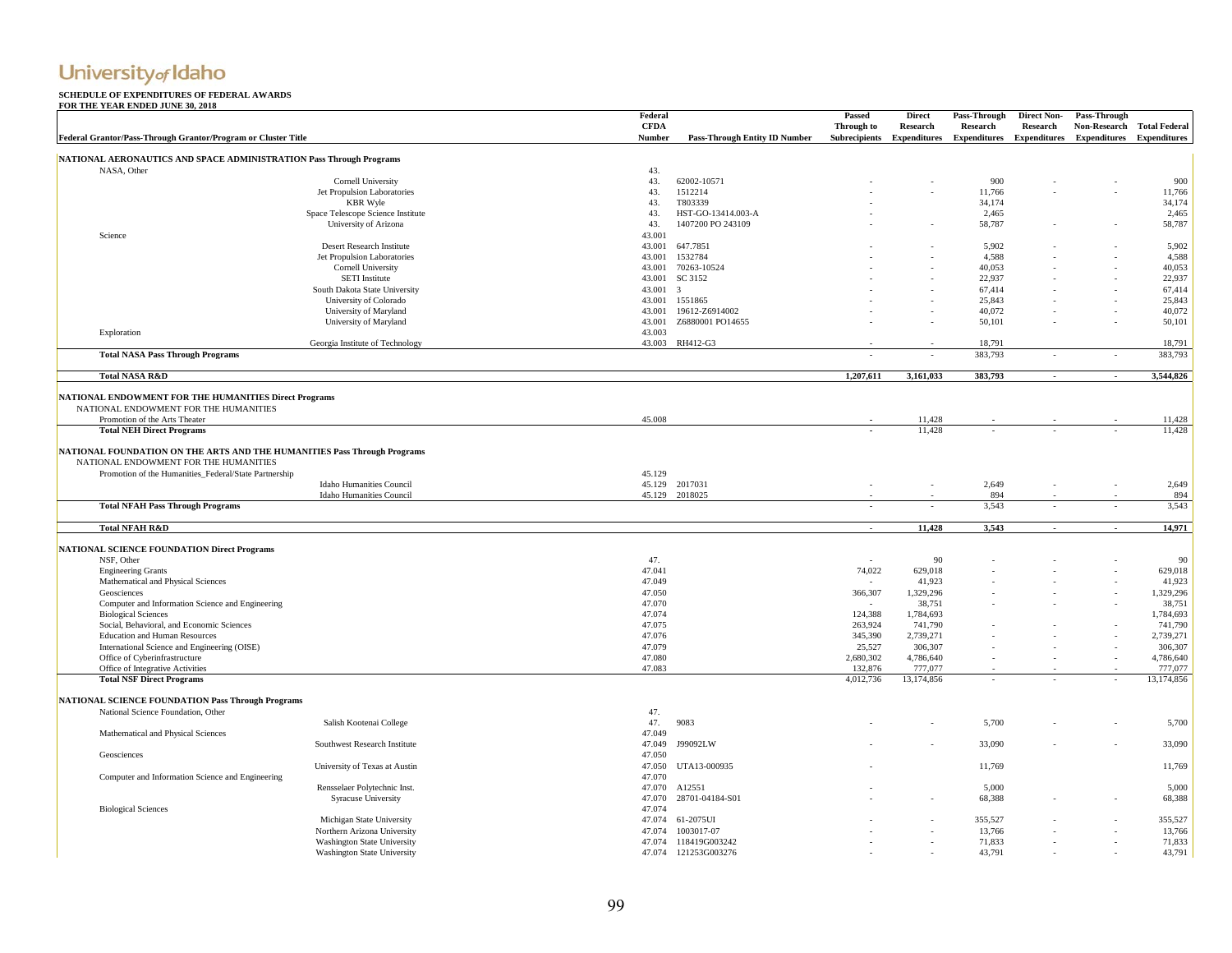| гов ше телверского зовета в 2010<br>Federal Grantor/Pass-Through Grantor/Program or Cluster Title |                                    | Federal<br><b>CFDA</b><br>Number | <b>Pass-Through Entity ID Number</b> | Passed<br>Through to | <b>Direct</b><br>Research | Pass-Through<br>Research<br>Subrecipients Expenditures Expenditures Expenditures Expenditures Expenditures | <b>Direct Non-</b><br>Research | Pass-Through | Non-Research Total Federal |
|---------------------------------------------------------------------------------------------------|------------------------------------|----------------------------------|--------------------------------------|----------------------|---------------------------|------------------------------------------------------------------------------------------------------------|--------------------------------|--------------|----------------------------|
|                                                                                                   |                                    |                                  |                                      |                      |                           |                                                                                                            |                                |              |                            |
| NATIONAL AERONAUTICS AND SPACE ADMINISTRATION Pass Through Programs<br>NASA, Other                |                                    | 43.                              |                                      |                      |                           |                                                                                                            |                                |              |                            |
|                                                                                                   | Cornell University                 | 43.                              | 62002-10571                          |                      |                           | 900                                                                                                        |                                |              | 900                        |
|                                                                                                   | Jet Propulsion Laboratories        | 43.                              | 1512214                              |                      |                           | 11,766                                                                                                     |                                |              | 11,766                     |
|                                                                                                   | <b>KBR</b> Wyle                    | 43.                              | T803339                              |                      |                           | 34.174                                                                                                     |                                |              | 34,174                     |
|                                                                                                   | Space Telescope Science Institute  | 43.                              | HST-GO-13414.003-A                   |                      |                           | 2,465                                                                                                      |                                |              | 2,465                      |
|                                                                                                   | University of Arizona              | 43.                              | 1407200 PO 243109                    |                      |                           | 58,787                                                                                                     |                                |              | 58,787                     |
| Science                                                                                           |                                    | 43.001                           |                                      |                      |                           |                                                                                                            |                                |              |                            |
|                                                                                                   | Desert Research Institute          | 43.001                           | 647.7851                             |                      |                           | 5,902                                                                                                      |                                |              | 5,902                      |
|                                                                                                   | Jet Propulsion Laboratories        | 43.001                           | 1532784                              |                      |                           | 4,588                                                                                                      |                                |              | 4,588                      |
|                                                                                                   | Cornell University                 | 43.001                           | 70263-10524                          |                      |                           | 40.053                                                                                                     |                                |              | 40.053                     |
|                                                                                                   | <b>SETI</b> Institute              | 43.001                           | SC 3152                              |                      |                           | 22,937                                                                                                     |                                |              | 22,937                     |
|                                                                                                   | South Dakota State University      | 43.001                           | $\overline{\mathbf{3}}$              |                      |                           | 67,414                                                                                                     |                                |              | 67,414                     |
|                                                                                                   | University of Colorado             |                                  | 43.001 1551865                       |                      |                           | 25,843                                                                                                     |                                |              | 25,843                     |
|                                                                                                   | University of Maryland             | 43.001                           | 19612-Z6914002                       |                      |                           | 40,072                                                                                                     | $\sim$                         | $\sim$       | 40,072                     |
|                                                                                                   | University of Maryland             | 43.001                           | Z6880001 PO14655                     |                      |                           | 50,101                                                                                                     | ÷                              | ÷.           | 50,101                     |
| Exploration                                                                                       |                                    | 43.003                           |                                      |                      |                           |                                                                                                            |                                |              |                            |
|                                                                                                   | Georgia Institute of Technology    |                                  | 43.003 RH412-G3                      |                      |                           | 18.791                                                                                                     |                                |              | 18.791                     |
| <b>Total NASA Pass Through Programs</b>                                                           |                                    |                                  |                                      |                      | ×.                        | 383,793                                                                                                    | ×.                             |              | 383,793                    |
| <b>Total NASA R&amp;D</b>                                                                         |                                    |                                  |                                      | 1,207,611            | 3.161.033                 | 383.793                                                                                                    | $\mathcal{L}$                  | $\sim$       | 3.544.826                  |
| NATIONAL ENDOWMENT FOR THE HUMANITIES Direct Programs                                             |                                    |                                  |                                      |                      |                           |                                                                                                            |                                |              |                            |
| NATIONAL ENDOWMENT FOR THE HUMANITIES                                                             |                                    |                                  |                                      |                      |                           |                                                                                                            |                                |              |                            |
| Promotion of the Arts Theater                                                                     |                                    | 45.008                           |                                      |                      | 11,428                    |                                                                                                            |                                |              | 11,428                     |
| <b>Total NEH Direct Programs</b>                                                                  |                                    |                                  |                                      | $\overline{a}$       | 11,428                    | $\sim$                                                                                                     |                                |              | 11,428                     |
|                                                                                                   |                                    |                                  |                                      |                      |                           |                                                                                                            |                                |              |                            |
| NATIONAL FOUNDATION ON THE ARTS AND THE HUMANITIES Pass Through Programs                          |                                    |                                  |                                      |                      |                           |                                                                                                            |                                |              |                            |
| NATIONAL ENDOWMENT FOR THE HUMANITIES                                                             |                                    |                                  |                                      |                      |                           |                                                                                                            |                                |              |                            |
| Promotion of the Humanities_Federal/State Partnership                                             |                                    | 45.129                           |                                      |                      |                           |                                                                                                            |                                |              |                            |
|                                                                                                   | <b>Idaho Humanities Council</b>    |                                  | 45.129 2017031                       | $\sim$               | $\sim$                    | 2,649                                                                                                      |                                |              | 2,649                      |
|                                                                                                   | Idaho Humanities Council           |                                  | 45.129 2018025                       |                      |                           | 894                                                                                                        |                                |              | 894                        |
| <b>Total NFAH Pass Through Programs</b>                                                           |                                    |                                  |                                      | $\sim$               | ÷                         | 3,543                                                                                                      | ÷,                             | $\sim$       | 3,543                      |
| <b>Total NFAH R&amp;D</b>                                                                         |                                    |                                  |                                      |                      | 11,428                    | 3,543                                                                                                      |                                |              | 14,971                     |
| <b>NATIONAL SCIENCE FOUNDATION Direct Programs</b>                                                |                                    |                                  |                                      |                      |                           |                                                                                                            |                                |              |                            |
| NSF, Other                                                                                        |                                    | 47.                              |                                      |                      | 90                        |                                                                                                            |                                |              | 90                         |
| <b>Engineering Grants</b>                                                                         |                                    | 47.041                           |                                      | 74,022               | 629,018                   |                                                                                                            |                                |              | 629,018                    |
| Mathematical and Physical Sciences                                                                |                                    | 47.049                           |                                      |                      | 41,923                    |                                                                                                            |                                |              | 41,923                     |
| Geosciences                                                                                       |                                    | 47.050                           |                                      | 366,307              | 1,329,296                 |                                                                                                            |                                |              | 1,329,296                  |
| Computer and Information Science and Engineering                                                  |                                    | 47.070                           |                                      |                      | 38,751                    |                                                                                                            |                                |              | 38,751                     |
| <b>Biological Sciences</b>                                                                        |                                    | 47.074                           |                                      | 124,388              | 1,784,693                 |                                                                                                            |                                |              | 1,784,693                  |
| Social, Behavioral, and Economic Sciences                                                         |                                    | 47.075                           |                                      | 263,924              | 741,790                   |                                                                                                            |                                |              | 741,790                    |
| <b>Education and Human Resources</b>                                                              |                                    | 47.076                           |                                      | 345,390              | 2,739,271                 |                                                                                                            |                                |              | 2,739,271                  |
| International Science and Engineering (OISE)                                                      |                                    | 47.079                           |                                      | 25,527               | 306,307                   |                                                                                                            |                                |              | 306,307                    |
| Office of Cyberinfrastructure                                                                     |                                    | 47.080                           |                                      | 2,680,302            | 4,786,640                 |                                                                                                            |                                |              | 4,786,640                  |
| Office of Integrative Activities                                                                  |                                    | 47.083                           |                                      | 132,876              | 777,077                   |                                                                                                            |                                |              | 777,077                    |
| <b>Total NSF Direct Programs</b>                                                                  |                                    |                                  |                                      | 4,012,736            | 13,174,856                | ÷                                                                                                          |                                |              | 13,174,856                 |
|                                                                                                   |                                    |                                  |                                      |                      |                           |                                                                                                            |                                |              |                            |
| <b>NATIONAL SCIENCE FOUNDATION Pass Through Programs</b><br>National Science Foundation, Other    |                                    | 47.                              |                                      |                      |                           |                                                                                                            |                                |              |                            |
|                                                                                                   | Salish Kootenai College            | 47.                              | 9083                                 |                      |                           | 5,700                                                                                                      |                                |              | 5,700                      |
| Mathematical and Physical Sciences                                                                |                                    | 47.049                           |                                      |                      |                           |                                                                                                            |                                |              |                            |
|                                                                                                   | Southwest Research Institute       | 47.049                           | J99092LW                             |                      |                           | 33,090                                                                                                     |                                |              | 33,090                     |
| Geosciences                                                                                       |                                    | 47.050                           |                                      |                      |                           |                                                                                                            |                                |              |                            |
|                                                                                                   | University of Texas at Austin      | 47.050                           | UTA13-000935                         |                      |                           | 11,769                                                                                                     |                                |              | 11,769                     |
| Computer and Information Science and Engineering                                                  |                                    | 47.070                           |                                      |                      |                           |                                                                                                            |                                |              |                            |
|                                                                                                   | Rensselaer Polytechnic Inst.       | 47.070                           | A12551                               |                      |                           | 5,000                                                                                                      |                                |              | 5,000                      |
|                                                                                                   | Syracuse University                | 47.070                           | 28701-04184-S01                      |                      |                           | 68,388                                                                                                     |                                |              | 68,388                     |
| <b>Biological Sciences</b>                                                                        |                                    | 47.074                           |                                      |                      |                           |                                                                                                            |                                |              |                            |
|                                                                                                   | Michigan State University          | 47.074                           | 61-2075UI                            |                      |                           | 355,527                                                                                                    |                                |              | 355,527                    |
|                                                                                                   | Northern Arizona University        | 47.074                           | 1003017-07                           |                      |                           | 13,766                                                                                                     |                                |              | 13,766                     |
|                                                                                                   | <b>Washington State University</b> | 47.074                           | 118419G003242                        |                      |                           | 71,833                                                                                                     |                                |              | 71,833                     |
|                                                                                                   | <b>Washington State University</b> | 47.074                           | 121253G003276                        |                      |                           | 43,791                                                                                                     |                                |              | 43,791                     |
|                                                                                                   |                                    |                                  |                                      |                      |                           |                                                                                                            |                                |              |                            |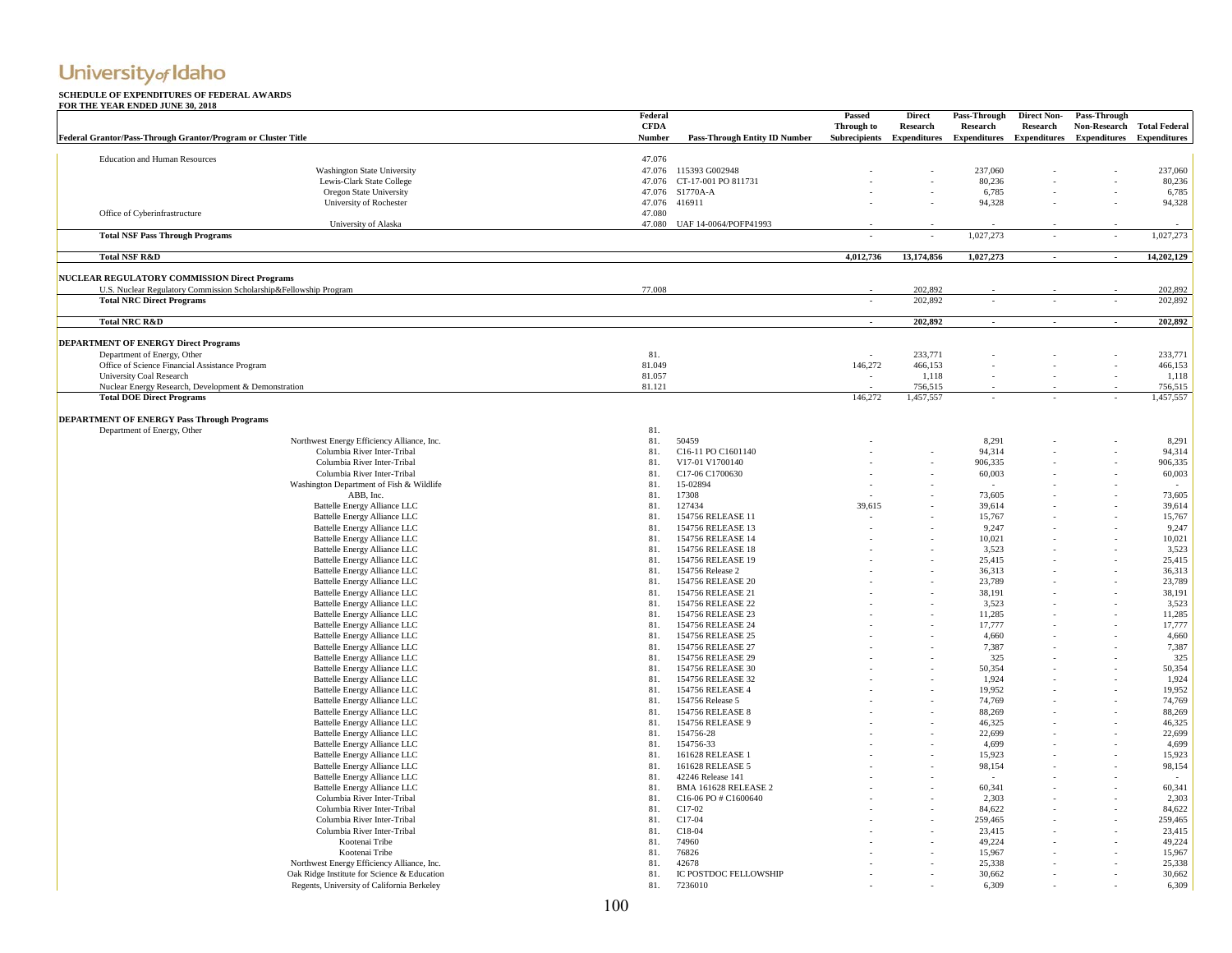|                                                                                                       | Federal       |                               | Passed        | <b>Direct</b>        | Pass-Through        | <b>Direct Non-</b>  | Pass-Through        |                      |
|-------------------------------------------------------------------------------------------------------|---------------|-------------------------------|---------------|----------------------|---------------------|---------------------|---------------------|----------------------|
|                                                                                                       | <b>CFDA</b>   |                               | Through to    | Research             | Research            | Research            | Non-Research        | <b>Total Federal</b> |
| Federal Grantor/Pass-Through Grantor/Program or Cluster Title                                         | <b>Number</b> | Pass-Through Entity ID Number | Subrecipients | <b>Expenditures</b>  | <b>Expenditures</b> | <b>Expenditures</b> | <b>Expenditures</b> | <b>Expenditures</b>  |
|                                                                                                       |               |                               |               |                      |                     |                     |                     |                      |
| <b>Education and Human Resources</b>                                                                  | 47.076        |                               |               |                      |                     |                     |                     |                      |
| Washington State University                                                                           | 47.076        | 115393 G002948                |               |                      | 237,060             |                     |                     | 237,060              |
| Lewis-Clark State College                                                                             |               | 47.076 CT-17-001 PO 811731    |               |                      | 80,236              |                     |                     | 80,236               |
| Oregon State University                                                                               | 47.076        | S1770A-A                      |               |                      | 6,785               |                     |                     | 6,785                |
| University of Rochester                                                                               | 47.076        | 416911                        |               |                      | 94,328              |                     |                     | 94,328               |
| Office of Cyberinfrastructure                                                                         | 47.080        |                               |               |                      |                     |                     |                     |                      |
| University of Alaska                                                                                  |               | 47.080 UAF 14-0064/POFP41993  |               |                      |                     |                     |                     |                      |
| <b>Total NSF Pass Through Programs</b>                                                                |               |                               |               |                      | 1,027,273           |                     |                     | 1,027,273            |
| <b>Total NSF R&amp;D</b>                                                                              |               |                               | 4,012,736     | 13,174,856           | 1,027,273           |                     |                     | 14,202,129           |
|                                                                                                       |               |                               |               |                      |                     |                     |                     |                      |
| NUCLEAR REGULATORY COMMISSION Direct Programs                                                         | 77.008        |                               |               | 202,892              |                     |                     |                     | 202,892              |
| U.S. Nuclear Regulatory Commission Scholarship&Fellowship Program<br><b>Total NRC Direct Programs</b> |               |                               |               | 202,892              | ÷,                  |                     |                     | 202,892              |
|                                                                                                       |               |                               |               |                      |                     |                     |                     |                      |
| <b>Total NRC R&amp;D</b>                                                                              |               |                               |               | 202,892              |                     |                     |                     | 202,892              |
| <b>DEPARTMENT OF ENERGY Direct Programs</b>                                                           |               |                               |               |                      |                     |                     |                     |                      |
|                                                                                                       | 81.           |                               |               |                      |                     |                     |                     | 233,771              |
| Department of Energy, Other                                                                           | 81.049        |                               | 146,272       | 233,771<br>466,153   |                     |                     |                     | 466,153              |
| Office of Science Financial Assistance Program                                                        |               |                               |               |                      |                     |                     |                     |                      |
| University Coal Research                                                                              | 81.057        |                               |               | 1,118                |                     |                     |                     | 1,118                |
| Nuclear Energy Research, Development & Demonstration<br><b>Total DOE Direct Programs</b>              | 81.121        |                               | 146.272       | 756,515<br>1,457,557 |                     |                     |                     | 756,515<br>1,457,557 |
|                                                                                                       |               |                               |               |                      |                     |                     |                     |                      |
| <b>DEPARTMENT OF ENERGY Pass Through Programs</b>                                                     |               |                               |               |                      |                     |                     |                     |                      |
| Department of Energy, Other                                                                           | 81.           |                               |               |                      |                     |                     |                     |                      |
| Northwest Energy Efficiency Alliance, Inc.                                                            | 81.           | 50459                         |               |                      | 8,291               |                     |                     | 8,291                |
| Columbia River Inter-Tribal                                                                           | 81.           | C16-11 PO C1601140            |               |                      | 94,314              |                     |                     | 94,314               |
| Columbia River Inter-Tribal                                                                           | 81.           | V17-01 V1700140               |               |                      | 906,335             |                     |                     | 906,335              |
| Columbia River Inter-Tribal                                                                           | 81.           | C17-06 C1700630               |               |                      | 60,003              |                     |                     | 60,003               |
| Washington Department of Fish & Wildlife                                                              | 81.           | 15-02894                      |               |                      | $\sim$              |                     |                     | $\sim$               |
| ABB, Inc.                                                                                             | 81.           | 17308                         |               |                      | 73,605              |                     |                     | 73,605               |
| <b>Battelle Energy Alliance LLC</b>                                                                   | 81.           | 127434                        | 39,615        |                      | 39,614              |                     |                     | 39,614               |
| <b>Battelle Energy Alliance LLC</b>                                                                   | 81.           | 154756 RELEASE 11             |               |                      | 15,767              |                     |                     | 15,767               |
| <b>Battelle Energy Alliance LLC</b>                                                                   | 81.           | 154756 RELEASE 13             |               |                      | 9,247               |                     |                     | 9,247                |
| <b>Battelle Energy Alliance LLC</b>                                                                   | 81.           | 154756 RELEASE 14             |               |                      | 10,021              |                     |                     | 10,021               |
| Battelle Energy Alliance LLC                                                                          | 81.           | 154756 RELEASE 18             |               |                      | 3,523               |                     |                     | 3,523                |
| Battelle Energy Alliance LLC                                                                          | 81.           | 154756 RELEASE 19             |               |                      | 25,415              |                     |                     | 25,415               |
| <b>Battelle Energy Alliance LLC</b>                                                                   | 81.           | 154756 Release 2              |               |                      | 36,313              |                     |                     | 36,313               |
| <b>Battelle Energy Alliance LLC</b>                                                                   | 81.           | 154756 RELEASE 20             |               |                      | 23,789              |                     |                     | 23,789               |
| Battelle Energy Alliance LLC                                                                          | 81.           | 154756 RELEASE 21             |               |                      | 38,191              |                     |                     | 38,191               |
| Battelle Energy Alliance LLC                                                                          | 81.           | 154756 RELEASE 22             |               |                      | 3,523               |                     |                     | 3,523                |
| Battelle Energy Alliance LLC                                                                          | 81.           | 154756 RELEASE 23             |               |                      | 11,285              |                     |                     | 11,285               |
| Battelle Energy Alliance LLC                                                                          | 81.           | 154756 RELEASE 24             |               |                      | 17,777              |                     |                     | 17,777               |
| Battelle Energy Alliance LLC                                                                          | 81.           | 154756 RELEASE 25             |               |                      | 4,660               |                     |                     | 4,660                |
| Battelle Energy Alliance LLC                                                                          | 81.           | 154756 RELEASE 27             |               |                      | 7,387               |                     |                     | 7,387                |
| Battelle Energy Alliance LLC                                                                          | 81.           | 154756 RELEASE 29             |               |                      | 325                 |                     |                     | 325                  |
| Battelle Energy Alliance LLC                                                                          | 81.           | 154756 RELEASE 30             |               |                      | 50,354              |                     |                     | 50,354               |
| Battelle Energy Alliance LLC                                                                          | 81.           | 154756 RELEASE 32             |               |                      | 1,924               |                     |                     | 1,924                |
| Battelle Energy Alliance LLC                                                                          | 81.           | 154756 RELEASE 4              |               |                      | 19,952              |                     |                     | 19,952               |
| <b>Battelle Energy Alliance LLC</b>                                                                   | 81.           | 154756 Release 5              |               |                      | 74,769              |                     |                     | 74,769               |
| Battelle Energy Alliance LLC                                                                          | 81.           | 154756 RELEASE 8              |               |                      | 88,269              |                     |                     | 88,269               |
| <b>Battelle Energy Alliance LLC</b>                                                                   | 81.           | 154756 RELEASE 9              |               |                      | 46,325              |                     |                     | 46,325               |
| Battelle Energy Alliance LLC                                                                          | 81.           | 154756-28                     |               |                      | 22,699              |                     |                     | 22,699               |
| Battelle Energy Alliance LLC                                                                          | 81.           | 154756-33                     |               |                      | 4,699               |                     |                     | 4,699                |
| <b>Battelle Energy Alliance LLC</b>                                                                   | 81.           | 161628 RELEASE 1              |               |                      | 15,923              |                     |                     | 15,923               |
| <b>Battelle Energy Alliance LLC</b>                                                                   | 81.           | 161628 RELEASE 5              |               |                      | 98.154              |                     |                     | 98,154               |
| Battelle Energy Alliance LLC                                                                          | 81.           | 42246 Release 141             |               |                      | $\sim$              |                     |                     | $\sim$               |
| Battelle Energy Alliance LLC                                                                          | 81.           | BMA 161628 RELEASE 2          |               |                      | 60.341              |                     |                     | 60,341               |
| Columbia River Inter-Tribal                                                                           | 81.           | C16-06 PO # C1600640          |               |                      | 2,303               |                     |                     | 2,303                |
| Columbia River Inter-Tribal                                                                           | 81.           | C17-02                        |               |                      | 84,622              |                     |                     | 84,622               |
| Columbia River Inter-Tribal                                                                           | 81.           | $C17-04$                      |               |                      | 259,465             |                     |                     | 259,465              |
| Columbia River Inter-Tribal                                                                           | 81.           | $C18-04$                      |               |                      | 23,415              |                     |                     | 23,415               |
| Kootenai Tribe                                                                                        | 81.           | 74960                         |               |                      | 49,224              |                     |                     | 49,224               |
| Kootenai Tribe                                                                                        | 81.           | 76826                         |               |                      | 15,967              |                     |                     | 15,967               |
| Northwest Energy Efficiency Alliance, Inc.                                                            | 81.           | 42678                         |               |                      | 25,338              |                     |                     | 25,338               |
| Oak Ridge Institute for Science & Education                                                           | 81.           | IC POSTDOC FELLOWSHIP         |               |                      | 30,662              |                     |                     | 30,662               |
| Regents, University of California Berkeley                                                            | 81.           | 7236010                       |               |                      | 6,309               |                     |                     | 6,309                |
|                                                                                                       |               |                               |               |                      |                     |                     |                     |                      |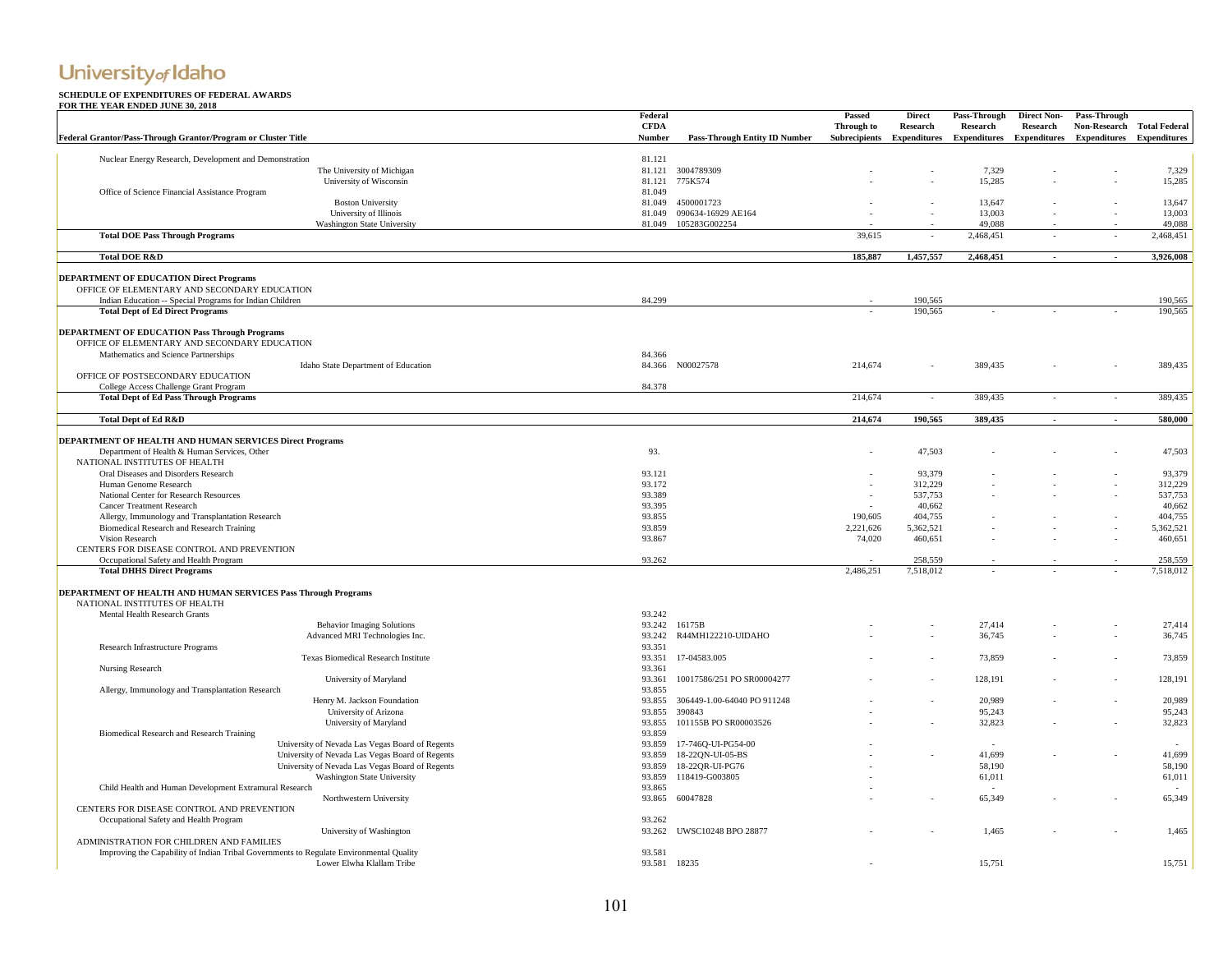| FOR THE TEAR ENDED JONE 50, 2016                                                        | Federal     |                                      | Passed     | <b>Direct</b> | Pass-Through                                                                   | <b>Direct Non-</b> | Pass-Through   |                            |
|-----------------------------------------------------------------------------------------|-------------|--------------------------------------|------------|---------------|--------------------------------------------------------------------------------|--------------------|----------------|----------------------------|
|                                                                                         | <b>CFDA</b> |                                      | Through to | Research      | Research                                                                       | Research           |                | Non-Research Total Federal |
| Federal Grantor/Pass-Through Grantor/Program or Cluster Title                           | Number      | <b>Pass-Through Entity ID Number</b> |            |               | Subrecipients Expenditures Expenditures Expenditures Expenditures Expenditures |                    |                |                            |
|                                                                                         |             |                                      |            |               |                                                                                |                    |                |                            |
| Nuclear Energy Research, Development and Demonstration                                  | 81.121      |                                      |            |               |                                                                                |                    |                |                            |
| The University of Michigan                                                              | 81.121      | 3004789309                           |            |               | 7,329                                                                          |                    |                | 7,329                      |
| University of Wisconsin                                                                 | 81.121      | 775K574                              |            |               | 15,285                                                                         |                    |                | 15,285                     |
| Office of Science Financial Assistance Program                                          | 81.049      |                                      |            |               |                                                                                |                    |                |                            |
| <b>Boston University</b>                                                                | 81.049      | 4500001723                           |            |               | 13,647                                                                         |                    |                | 13,647                     |
| University of Illinois                                                                  | 81.049      | 090634-16929 AE164                   |            |               | 13,003                                                                         |                    |                | 13,003                     |
| Washington State University                                                             |             | 81.049 105283G002254                 |            |               | 49,088                                                                         |                    |                | 49,088                     |
| <b>Total DOE Pass Through Programs</b>                                                  |             |                                      | 39.615     |               | 2,468,451                                                                      |                    |                | 2,468,451                  |
| <b>Total DOE R&amp;D</b>                                                                |             |                                      | 185.887    | 1.457.557     | 2.468.451                                                                      |                    |                | 3,926,008                  |
|                                                                                         |             |                                      |            |               |                                                                                |                    |                |                            |
| <b>DEPARTMENT OF EDUCATION Direct Programs</b>                                          |             |                                      |            |               |                                                                                |                    |                |                            |
| OFFICE OF ELEMENTARY AND SECONDARY EDUCATION                                            |             |                                      |            |               |                                                                                |                    |                |                            |
| Indian Education -- Special Programs for Indian Children                                | 84.299      |                                      |            | 190,565       |                                                                                |                    |                | 190,565                    |
| <b>Total Dept of Ed Direct Programs</b>                                                 |             |                                      |            | 190,565       |                                                                                |                    |                | 190,565                    |
|                                                                                         |             |                                      |            |               |                                                                                |                    |                |                            |
| DEPARTMENT OF EDUCATION Pass Through Programs                                           |             |                                      |            |               |                                                                                |                    |                |                            |
| OFFICE OF ELEMENTARY AND SECONDARY EDUCATION                                            |             |                                      |            |               |                                                                                |                    |                |                            |
| Mathematics and Science Partnerships                                                    | 84.366      |                                      |            |               |                                                                                |                    |                |                            |
| Idaho State Department of Education                                                     |             | 84.366 N00027578                     | 214,674    |               | 389,435                                                                        |                    |                | 389,435                    |
| OFFICE OF POSTSECONDARY EDUCATION                                                       |             |                                      |            |               |                                                                                |                    |                |                            |
| College Access Challenge Grant Program                                                  | 84.378      |                                      |            |               |                                                                                |                    |                |                            |
| <b>Total Dept of Ed Pass Through Programs</b>                                           |             |                                      | 214,674    | $\sim$        | 389,435                                                                        | $\sim$             | $\sim$         | 389,435                    |
|                                                                                         |             |                                      |            | 190.565       | 389.435                                                                        |                    |                | 580,000                    |
| <b>Total Dept of Ed R&amp;D</b>                                                         |             |                                      | 214,674    |               |                                                                                |                    | $\blacksquare$ |                            |
| DEPARTMENT OF HEALTH AND HUMAN SERVICES Direct Programs                                 |             |                                      |            |               |                                                                                |                    |                |                            |
| Department of Health & Human Services, Other                                            | 93.         |                                      |            | 47,503        |                                                                                |                    |                | 47,503                     |
| NATIONAL INSTITUTES OF HEALTH                                                           |             |                                      |            |               |                                                                                |                    |                |                            |
| Oral Diseases and Disorders Research                                                    | 93.121      |                                      |            | 93,379        |                                                                                |                    |                | 93,379                     |
| Human Genome Research                                                                   | 93.172      |                                      |            | 312,229       |                                                                                |                    |                | 312,229                    |
| National Center for Research Resources                                                  | 93.389      |                                      |            | 537,753       |                                                                                |                    |                | 537,753                    |
| Cancer Treatment Research                                                               | 93.395      |                                      |            | 40,662        |                                                                                |                    |                | 40,662                     |
| Allergy, Immunology and Transplantation Research                                        | 93.855      |                                      | 190,605    | 404,755       |                                                                                |                    |                | 404,755                    |
| Biomedical Research and Research Training                                               | 93.859      |                                      | 2,221,626  | 5,362,521     |                                                                                |                    |                | 5,362,521                  |
| Vision Research                                                                         | 93.867      |                                      | 74,020     | 460,651       |                                                                                |                    |                | 460,651                    |
| CENTERS FOR DISEASE CONTROL AND PREVENTION                                              |             |                                      |            |               |                                                                                |                    |                |                            |
| Occupational Safety and Health Program                                                  | 93.262      |                                      |            | 258,559       |                                                                                |                    |                | 258,559                    |
| <b>Total DHHS Direct Programs</b>                                                       |             |                                      | 2,486,251  | 7,518,012     |                                                                                |                    |                | 7,518,012                  |
|                                                                                         |             |                                      |            |               |                                                                                |                    |                |                            |
| <b>DEPARTMENT OF HEALTH AND HUMAN SERVICES Pass Through Programs</b>                    |             |                                      |            |               |                                                                                |                    |                |                            |
| NATIONAL INSTITUTES OF HEALTH                                                           |             |                                      |            |               |                                                                                |                    |                |                            |
| Mental Health Research Grants                                                           | 93.242      |                                      |            |               |                                                                                |                    |                |                            |
| <b>Behavior Imaging Solutions</b>                                                       | 93.242      | 16175B                               |            |               | 27,414                                                                         |                    |                | 27,414                     |
| Advanced MRI Technologies Inc.                                                          | 93.242      | R44MH122210-UIDAHO                   |            |               | 36,745                                                                         |                    |                | 36,745                     |
| Research Infrastructure Programs                                                        | 93.351      |                                      |            |               |                                                                                |                    |                |                            |
| Texas Biomedical Research Institute                                                     | 93.351      | 17-04583.005                         |            |               | 73,859                                                                         |                    |                | 73,859                     |
| Nursing Research                                                                        | 93.361      |                                      |            |               |                                                                                |                    |                |                            |
| University of Maryland                                                                  | 93.361      | 10017586/251 PO SR00004277           |            |               | 128,191                                                                        |                    |                | 128,191                    |
| Allergy, Immunology and Transplantation Research                                        | 93.855      |                                      |            |               |                                                                                |                    |                |                            |
| Henry M. Jackson Foundation                                                             | 93.855      | 306449-1.00-64040 PO 911248          |            |               | 20.989                                                                         |                    |                | 20.989                     |
| University of Arizona                                                                   | 93.855      | 390843                               |            |               | 95.243                                                                         |                    |                | 95,243                     |
| University of Maryland                                                                  | 93.855      | 101155B PO SR00003526                |            |               | 32,823                                                                         |                    |                | 32,823                     |
| Biomedical Research and Research Training                                               | 93.859      |                                      |            |               |                                                                                |                    |                |                            |
| University of Nevada Las Vegas Board of Regents                                         | 93.859      | 17-7460-UI-PG54-00                   |            |               |                                                                                |                    |                |                            |
| University of Nevada Las Vegas Board of Regents                                         | 93.859      | 18-22QN-UI-05-BS                     |            |               | 41,699                                                                         |                    |                | 41,699                     |
| University of Nevada Las Vegas Board of Regents                                         | 93.859      | 18-22QR-UI-PG76                      |            |               | 58,190                                                                         |                    |                | 58,190                     |
| <b>Washington State University</b>                                                      | 93.859      | 118419-G003805                       |            |               | 61,011                                                                         |                    |                | 61,011                     |
| Child Health and Human Development Extramural Research                                  | 93.865      |                                      |            |               |                                                                                |                    |                |                            |
| Northwestern University                                                                 | 93.865      | 60047828                             |            |               | 65,349                                                                         |                    |                | 65,349                     |
| CENTERS FOR DISEASE CONTROL AND PREVENTION                                              |             |                                      |            |               |                                                                                |                    |                |                            |
| Occupational Safety and Health Program                                                  | 93.262      |                                      |            |               |                                                                                |                    |                |                            |
| University of Washington                                                                | 93.262      | UWSC10248 BPO 28877                  |            |               | 1,465                                                                          |                    |                | 1,465                      |
| ADMINISTRATION FOR CHILDREN AND FAMILIES                                                |             |                                      |            |               |                                                                                |                    |                |                            |
| Improving the Capability of Indian Tribal Governments to Regulate Environmental Quality | 93.581      |                                      |            |               |                                                                                |                    |                |                            |
| Lower Elwha Klallam Tribe                                                               | 93.581      | 18235                                |            |               | 15,751                                                                         |                    |                | 15,751                     |
|                                                                                         |             |                                      |            |               |                                                                                |                    |                |                            |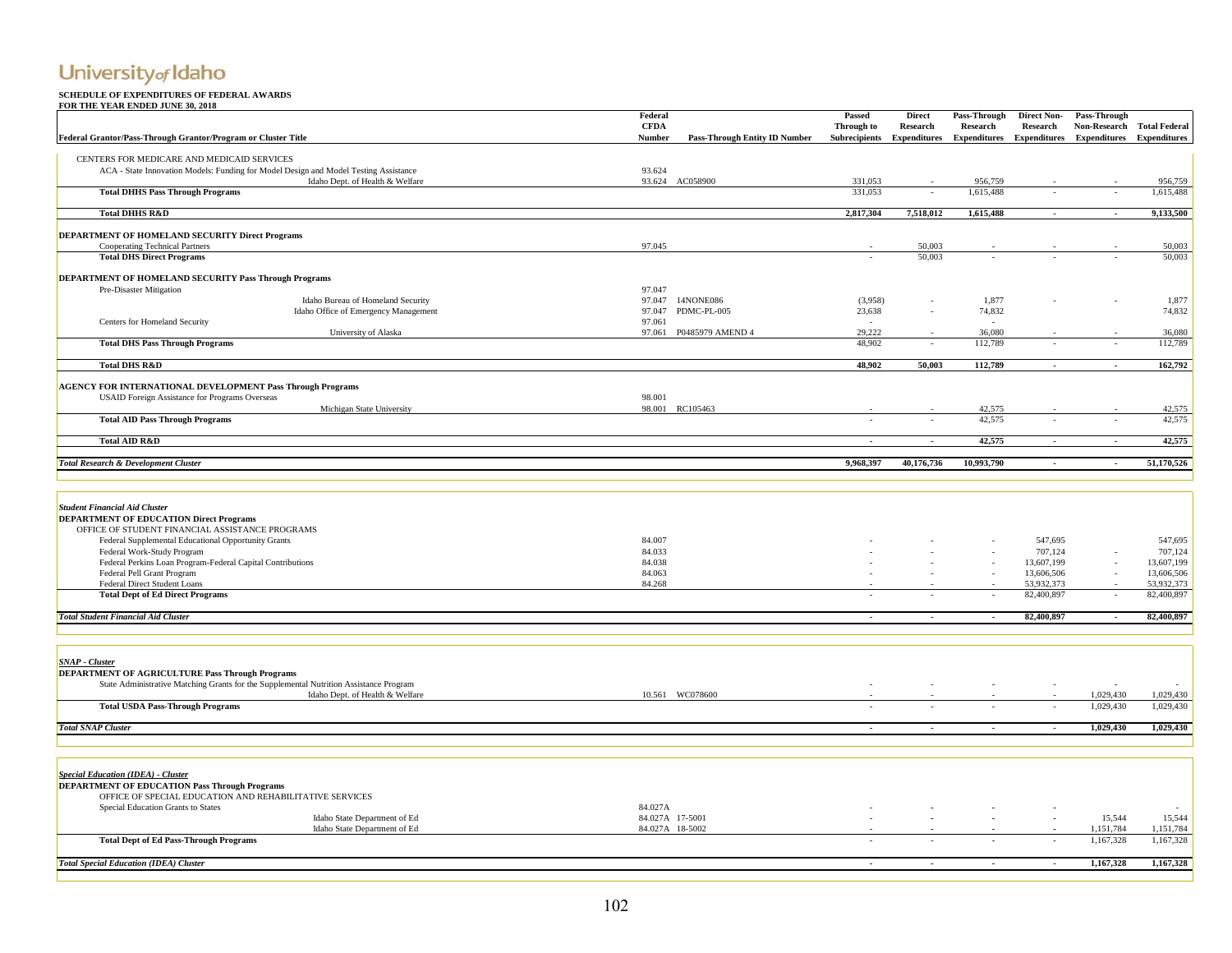| SCHEDULE OF EXPENDITURES OF FEDERAL AWARDS<br>FOR THE YEAR ENDED JUNE 30, 2018                                      | Federal          |                               | Passed                   | <b>Direct</b>                                                                  | Pass-Through             | <b>Direct Non-</b>       | Pass-Through |                      |
|---------------------------------------------------------------------------------------------------------------------|------------------|-------------------------------|--------------------------|--------------------------------------------------------------------------------|--------------------------|--------------------------|--------------|----------------------|
|                                                                                                                     | <b>CFDA</b>      |                               | Through to               | Research                                                                       | Research                 | Research                 | Non-Research | <b>Total Federal</b> |
| Federal Grantor/Pass-Through Grantor/Program or Cluster Title                                                       | Number           | Pass-Through Entity ID Number |                          | Subrecipients Expenditures Expenditures Expenditures Expenditures Expenditures |                          |                          |              |                      |
| CENTERS FOR MEDICARE AND MEDICAID SERVICES                                                                          |                  |                               |                          |                                                                                |                          |                          |              |                      |
| ACA - State Innovation Models: Funding for Model Design and Model Testing Assistance                                | 93.624           |                               |                          |                                                                                |                          |                          |              |                      |
| Idaho Dept. of Health & Welfare<br><b>Total DHHS Pass Through Programs</b>                                          |                  | 93.624 AC058900               | 331,053<br>331,053       |                                                                                | 956,759<br>1,615,488     |                          |              | 956,759<br>1,615,488 |
|                                                                                                                     |                  |                               |                          |                                                                                |                          |                          |              |                      |
| <b>Total DHHS R&amp;D</b>                                                                                           |                  |                               | 2,817,304                | 7,518,012                                                                      | 1,615,488                |                          |              | 9,133,500            |
| DEPARTMENT OF HOMELAND SECURITY Direct Programs                                                                     |                  |                               |                          |                                                                                |                          |                          |              |                      |
| <b>Cooperating Technical Partners</b><br><b>Total DHS Direct Programs</b>                                           | 97.045           |                               | $\sim$                   | 50,003<br>50,003                                                               | $\sim$                   |                          |              | 50,003<br>50,003     |
|                                                                                                                     |                  |                               |                          |                                                                                |                          |                          |              |                      |
| DEPARTMENT OF HOMELAND SECURITY Pass Through Programs<br>Pre-Disaster Mitigation                                    | 97.047           |                               |                          |                                                                                |                          |                          |              |                      |
| Idaho Bureau of Homeland Security                                                                                   | 97.047           | 14NONE086                     | (3,958)                  |                                                                                | 1,877                    |                          |              | 1,877                |
| Idaho Office of Emergency Management                                                                                | 97.047           | PDMC-PL-005                   | 23,638                   |                                                                                | 74,832                   |                          |              | 74,832               |
| Centers for Homeland Security                                                                                       | 97.061           |                               |                          |                                                                                |                          |                          |              |                      |
| University of Alaska                                                                                                |                  | 97.061 P0485979 AMEND 4       | 29,222                   |                                                                                | 36,080                   |                          |              | 36,080               |
| <b>Total DHS Pass Through Programs</b>                                                                              |                  |                               | 48,902                   | $\sim$                                                                         | 112,789                  |                          |              | 112,789              |
| <b>Total DHS R&amp;D</b>                                                                                            |                  |                               | 48.902                   | 50,003                                                                         | 112,789                  | $\sim$                   | $\sim$       | 162,792              |
|                                                                                                                     |                  |                               |                          |                                                                                |                          |                          |              |                      |
| <b>AGENCY FOR INTERNATIONAL DEVELOPMENT Pass Through Programs</b><br>USAID Foreign Assistance for Programs Overseas | 98.001           |                               |                          |                                                                                |                          |                          |              |                      |
| Michigan State University                                                                                           |                  | 98.001 RC105463               |                          |                                                                                | 42,575                   |                          |              | 42,575               |
| <b>Total AID Pass Through Programs</b>                                                                              |                  |                               |                          | L.                                                                             | 42,575                   | $\sim$                   |              | 42,575               |
| <b>Total AID R&amp;D</b>                                                                                            |                  |                               | $\overline{\phantom{a}}$ | $\sim$                                                                         | 42,575                   | $\sim$                   | $\sim$       | 42,575               |
| <b>Total Research &amp; Development Cluster</b>                                                                     |                  |                               | 9,968,397                | 40,176,736                                                                     | 10,993,790               | $\sim$                   | $\sim$       | 51,170,526           |
|                                                                                                                     |                  |                               |                          |                                                                                |                          |                          |              |                      |
|                                                                                                                     |                  |                               |                          |                                                                                |                          |                          |              |                      |
| <b>Student Financial Aid Cluster</b>                                                                                |                  |                               |                          |                                                                                |                          |                          |              |                      |
| <b>DEPARTMENT OF EDUCATION Direct Programs</b>                                                                      |                  |                               |                          |                                                                                |                          |                          |              |                      |
| OFFICE OF STUDENT FINANCIAL ASSISTANCE PROGRAMS                                                                     |                  |                               |                          |                                                                                |                          |                          |              |                      |
| Federal Supplemental Educational Opportunity Grants<br>Federal Work-Study Program                                   | 84.007<br>84.033 |                               |                          |                                                                                |                          | 547,695<br>707,124       |              | 547,695<br>707,124   |
| Federal Perkins Loan Program-Federal Capital Contributions                                                          | 84.038           |                               |                          |                                                                                |                          | 13,607,199               |              | 13,607,199           |
| Federal Pell Grant Program                                                                                          | 84.063           |                               |                          |                                                                                |                          | 13,606,506               |              | 13,606,506           |
| Federal Direct Student Loans                                                                                        | 84.268           |                               |                          |                                                                                |                          | 53,932,373               |              | 53,932,373           |
| <b>Total Dept of Ed Direct Programs</b>                                                                             |                  |                               |                          | L.                                                                             |                          | 82,400,897               |              | 82,400,897           |
| <b>Total Student Financial Aid Cluster</b>                                                                          |                  |                               |                          | $\overline{\phantom{a}}$                                                       |                          | 82,400,897               |              | 82,400,897           |
|                                                                                                                     |                  |                               |                          |                                                                                |                          |                          |              |                      |
|                                                                                                                     |                  |                               |                          |                                                                                |                          |                          |              |                      |
| <b>SNAP</b> - Cluster                                                                                               |                  |                               |                          |                                                                                |                          |                          |              |                      |
| DEPARTMENT OF AGRICULTURE Pass Through Programs                                                                     |                  |                               |                          |                                                                                |                          |                          |              |                      |
| State Administrative Matching Grants for the Supplemental Nutrition Assistance Program                              |                  |                               |                          |                                                                                |                          |                          |              |                      |
| Idaho Dept. of Health & Welfare                                                                                     |                  | 10.561 WC078600               |                          |                                                                                |                          |                          | 1,029,430    | 1,029,430            |
| <b>Total USDA Pass-Through Programs</b>                                                                             |                  |                               |                          |                                                                                |                          |                          | 1.029.430    | 1.029.430            |
| <b>Total SNAP Cluster</b>                                                                                           |                  |                               | $\overline{\phantom{a}}$ | $\blacksquare$                                                                 | $\overline{\phantom{a}}$ | $\overline{\phantom{a}}$ | 1,029,430    | 1,029,430            |
|                                                                                                                     |                  |                               |                          |                                                                                |                          |                          |              |                      |
|                                                                                                                     |                  |                               |                          |                                                                                |                          |                          |              |                      |
| <b>Special Education (IDEA) - Cluster</b>                                                                           |                  |                               |                          |                                                                                |                          |                          |              |                      |
| <b>DEPARTMENT OF EDUCATION Pass Through Programs</b>                                                                |                  |                               |                          |                                                                                |                          |                          |              |                      |

**DEPARTMENT OF EDUCATION Pass Through Programs** OFFICE OF SPECIAL EDUCATION AND REHABILITATIVE SERVICES Special Education Grants to States 84.027A 17-5001<br>
84.027A 17-5001 Idaho State Department of Ed 84.027A 17-5001<br>
84.027A 18-5002<br>
84.027A 18-5002<br>
84.027A 18-5002 Idaho State Department of Ed 84.027A 18-5002 - **- - -** 1,151,784 1,151,784 **Total Dept of Ed Pass-Through Programs**  $1,167,328$   $1,167,328$ **Total Special Education (IDEA) Cluster** - - - - - - - 1,167,328 1,167,328 1,167,328 1,167,328 1,167,328 1,167,328 1,167,328 1,167,328 1,167,328 1,167,328 1,167,328 1,167,328 1,167,328 1,167,328 1,167,328 1,167,328 1,167,3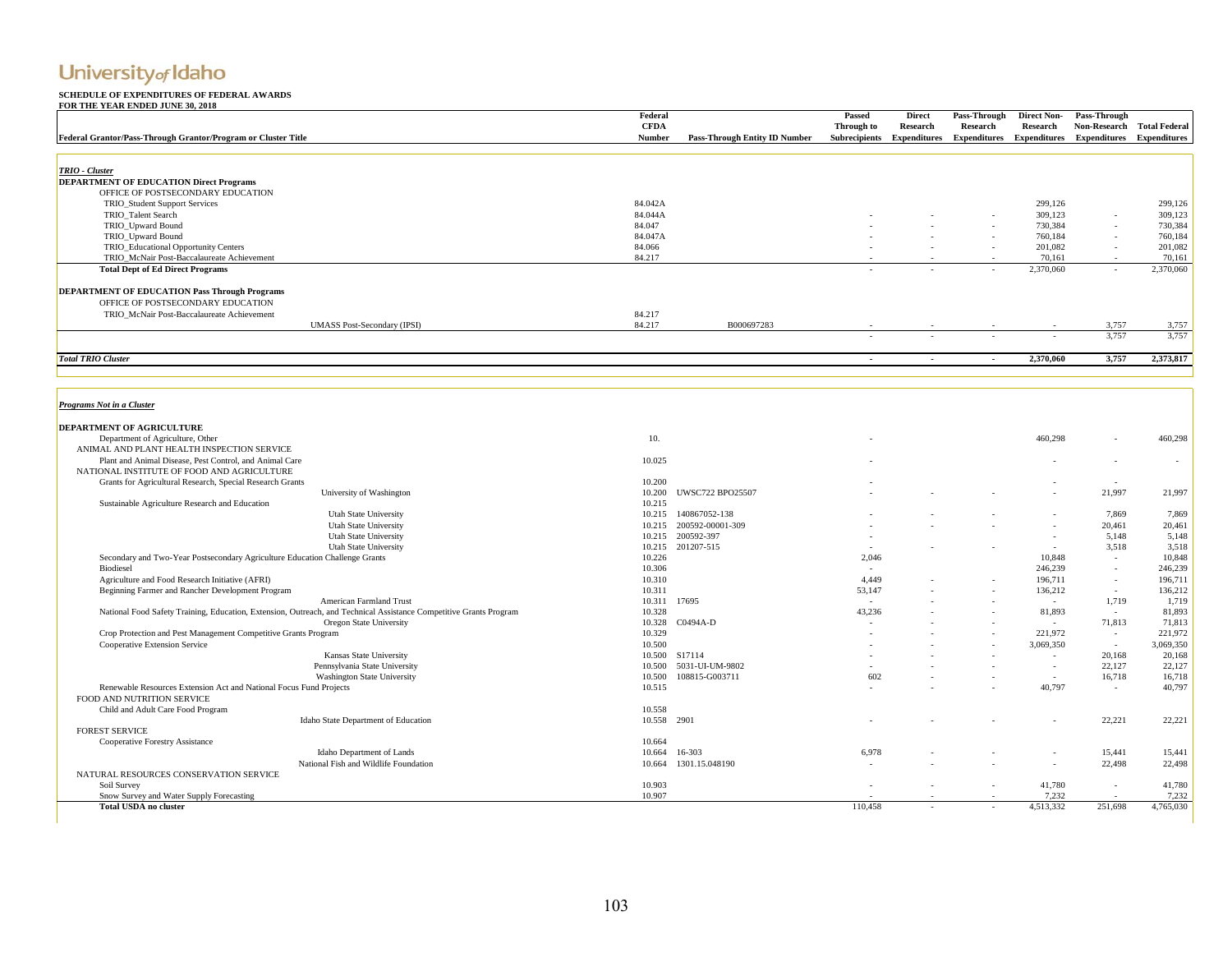#### **SCHEDULE OF EXPENDITURES OF FEDERAL AWARDS FOR THE YEAR ENDED JUNE 30, 2018**

|                                                               | Federal<br><b>CFDA</b> |                               | Passed<br>Through to | <b>Direct</b><br>Research  | Pass-Through<br>Research | <b>Direct Non-</b><br>Research | <b>Pass-Through</b><br><b>Non-Research</b>          | <b>Total Federal</b> |
|---------------------------------------------------------------|------------------------|-------------------------------|----------------------|----------------------------|--------------------------|--------------------------------|-----------------------------------------------------|----------------------|
| Federal Grantor/Pass-Through Grantor/Program or Cluster Title | <b>Number</b>          | Pass-Through Entity ID Number |                      | Subrecipients Expenditures |                          |                                | Expenditures Expenditures Expenditures Expenditures |                      |
|                                                               |                        |                               |                      |                            |                          |                                |                                                     |                      |
| <b>TRIO</b> - Cluster                                         |                        |                               |                      |                            |                          |                                |                                                     |                      |
| <b>DEPARTMENT OF EDUCATION Direct Programs</b>                |                        |                               |                      |                            |                          |                                |                                                     |                      |
| OFFICE OF POSTSECONDARY EDUCATION                             |                        |                               |                      |                            |                          |                                |                                                     |                      |
| TRIO_Student Support Services                                 | 84.042A                |                               |                      |                            |                          | 299,126                        |                                                     | 299,126              |
| TRIO Talent Search                                            | 84.044A                |                               | $\sim$               | $\sim$                     | $\sim$                   | 309,123                        | $\sim$                                              | 309,123              |
| TRIO Upward Bound                                             | 84,047                 |                               |                      | $\sim$                     | $\sim$                   | 730,384                        | $\sim$                                              | 730,384              |
| TRIO_Upward Bound                                             | 84.047A                |                               |                      | $\sim$                     | $\sim$                   | 760,184                        | $\sim$                                              | 760,184              |
| TRIO_Educational Opportunity Centers                          | 84.066                 |                               | $\sim$               | $\sim$                     | $\sim$                   | 201,082                        | $\sim$                                              | 201,082              |
| TRIO McNair Post-Baccalaureate Achievement                    | 84.217                 |                               |                      | $\sim$                     | $\sim$                   | 70.161                         | $\sim$                                              | 70,161               |
| <b>Total Dept of Ed Direct Programs</b>                       |                        |                               | $\sim$               | $\sim$                     | $\sim$                   | 2,370,060                      | $\sim$                                              | 2,370,060            |
| <b>DEPARTMENT OF EDUCATION Pass Through Programs</b>          |                        |                               |                      |                            |                          |                                |                                                     |                      |
| OFFICE OF POSTSECONDARY EDUCATION                             |                        |                               |                      |                            |                          |                                |                                                     |                      |
| TRIO McNair Post-Baccalaureate Achievement                    | 84.217                 |                               |                      |                            |                          |                                |                                                     |                      |
| <b>UMASS Post-Secondary (IPSI)</b>                            | 84.217                 | B000697283                    |                      |                            |                          |                                | 3,757                                               | 3,757                |
|                                                               |                        |                               | $\sim$               | $\sim$                     | $\sim$                   | $\sim$                         | 3,757                                               | 3,757                |
| <b>Total TRIO Cluster</b>                                     |                        |                               | $\sim$               | $\sim$                     | $\overline{\phantom{a}}$ | 2,370,060                      | 3,757                                               | 2,373,817            |
|                                                               |                        |                               |                      |                            |                          |                                |                                                     |                      |

#### *Programs Not in a Cluster*

| <b>DEPARTMENT OF AGRICULTURE</b>                                                                                   |        |                         |                          |        |           |         |           |
|--------------------------------------------------------------------------------------------------------------------|--------|-------------------------|--------------------------|--------|-----------|---------|-----------|
| Department of Agriculture, Other                                                                                   | 10.    |                         | $\overline{\phantom{a}}$ |        | 460,298   | $\sim$  | 460,298   |
| ANIMAL AND PLANT HEALTH INSPECTION SERVICE                                                                         |        |                         |                          |        |           |         |           |
| Plant and Animal Disease, Pest Control, and Animal Care                                                            | 10.025 |                         | $\overline{\phantom{a}}$ |        |           | $\sim$  | $\sim$    |
| NATIONAL INSTITUTE OF FOOD AND AGRICULTURE                                                                         |        |                         |                          |        |           |         |           |
| Grants for Agricultural Research, Special Research Grants                                                          | 10.200 |                         |                          |        |           | $\sim$  |           |
| University of Washington                                                                                           | 10.200 | <b>UWSC722 BPO25507</b> |                          |        |           | 21,997  | 21,997    |
| Sustainable Agriculture Research and Education                                                                     | 10.215 |                         |                          |        |           |         |           |
| <b>Utah State University</b>                                                                                       | 10.215 | 140867052-138           |                          |        |           | 7,869   | 7,869     |
| Utah State University                                                                                              | 10.215 | 200592-00001-309        |                          |        |           | 20,461  | 20,461    |
| Utah State University                                                                                              | 10.215 | 200592-397              |                          |        |           | 5.148   | 5,148     |
| <b>Utah State University</b>                                                                                       | 10.215 | 201207-515              |                          |        |           | 3,518   | 3,518     |
| Secondary and Two-Year Postsecondary Agriculture Education Challenge Grants                                        | 10.226 |                         | 2,046                    |        | 10.848    | $\sim$  | 10,848    |
| Biodiesel                                                                                                          | 10.306 |                         |                          |        | 246,239   | $\sim$  | 246,239   |
| Agriculture and Food Research Initiative (AFRI)                                                                    | 10.310 |                         | 4.449                    |        | 196,711   | $\sim$  | 196,711   |
| Beginning Farmer and Rancher Development Program                                                                   | 10.311 |                         | 53,147                   |        | 136,212   | $\sim$  | 136,212   |
| <b>American Farmland Trust</b>                                                                                     | 10.311 | 17695                   | $\sim$                   |        | $\sim$    | 1,719   | 1,719     |
| National Food Safety Training, Education, Extension, Outreach, and Technical Assistance Competitive Grants Program | 10.328 |                         | 43.236                   |        | 81,893    | $\sim$  | 81,893    |
| Oregon State University                                                                                            | 10.328 | C0494A-D                | $\sim$                   |        | $\sim$    | 71,813  | 71,813    |
| Crop Protection and Pest Management Competitive Grants Program                                                     | 10.329 |                         |                          |        | 221,972   | $\sim$  | 221,972   |
| Cooperative Extension Service                                                                                      | 10.500 |                         |                          |        | 3,069,350 | $\sim$  | 3,069,350 |
| Kansas State University                                                                                            | 10.500 | S17114                  |                          |        |           | 20,168  | 20,168    |
| Pennsylvania State University                                                                                      | 10.500 | 5031-UI-UM-9802         |                          |        |           | 22,127  | 22,127    |
| <b>Washington State University</b>                                                                                 | 10.500 | 108815-G003711          | 602                      |        | $\sim$    | 16,718  | 16,718    |
| Renewable Resources Extension Act and National Focus Fund Projects                                                 | 10.515 |                         | $\sim$                   |        | 40,797    | $\sim$  | 40,797    |
| FOOD AND NUTRITION SERVICE                                                                                         |        |                         |                          |        |           |         |           |
| Child and Adult Care Food Program                                                                                  | 10.558 |                         |                          |        |           |         |           |
| Idaho State Department of Education                                                                                | 10.558 | 2901                    |                          |        |           | 22,221  | 22,221    |
| <b>FOREST SERVICE</b>                                                                                              |        |                         |                          |        |           |         |           |
| Cooperative Forestry Assistance                                                                                    | 10.664 |                         |                          |        |           |         |           |
| Idaho Department of Lands                                                                                          | 10.664 | 16-303                  | 6,978                    |        |           | 15.441  | 15,441    |
| National Fish and Wildlife Foundation                                                                              | 10.664 | 1301.15.048190          | $\sim$                   |        |           | 22,498  | 22,498    |
| NATURAL RESOURCES CONSERVATION SERVICE                                                                             |        |                         |                          |        |           |         |           |
| Soil Survey                                                                                                        | 10.903 |                         |                          | $\sim$ | 41,780    | $\sim$  | 41,780    |
| Snow Survey and Water Supply Forecasting                                                                           | 10.907 |                         |                          |        | 7,232     |         | 7,232     |
| <b>Total USDA no cluster</b>                                                                                       |        |                         | 110,458                  |        | 4.513.332 | 251,698 | 4,765,030 |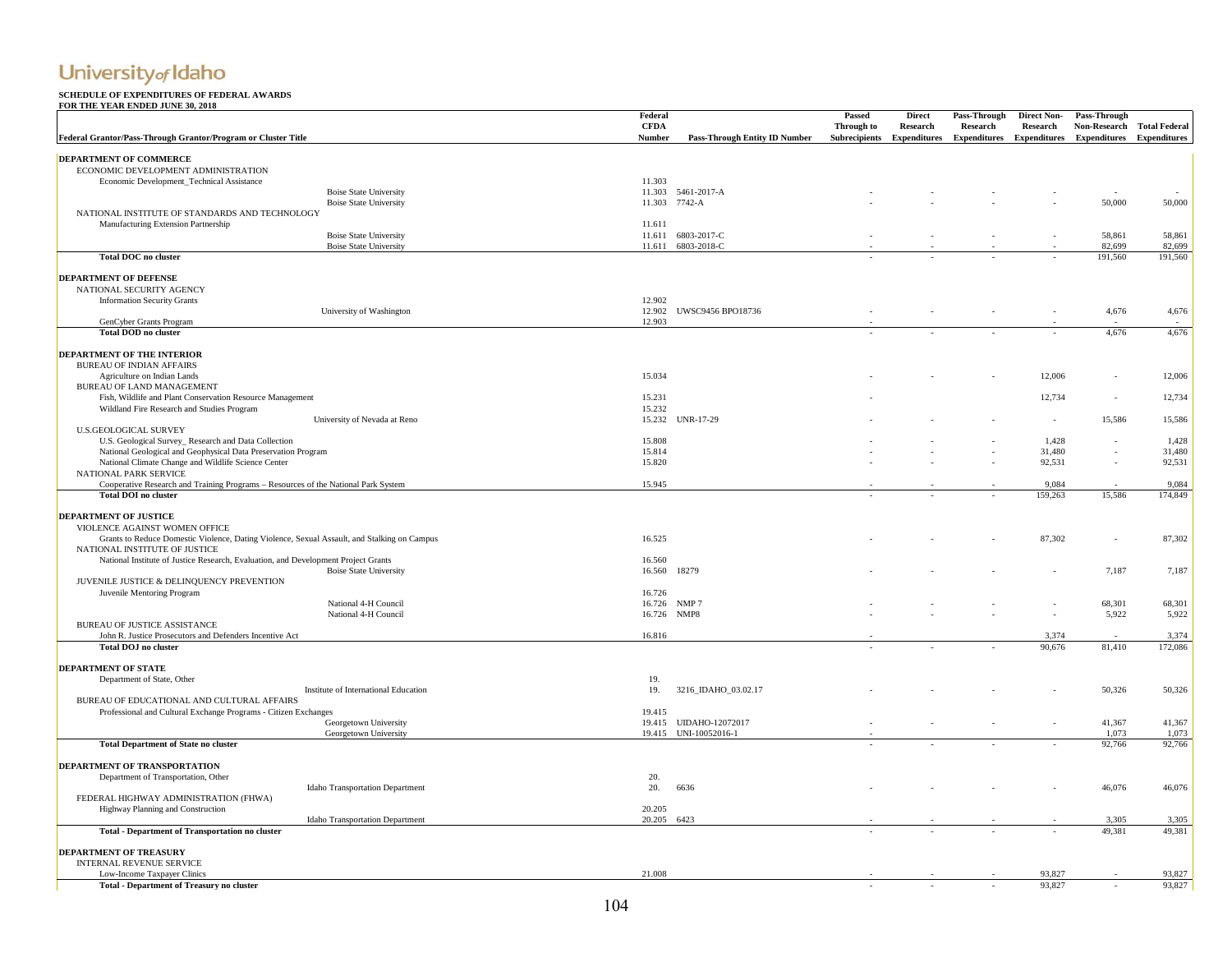|                                                                                                                              | Federal          |                               | Passed     | <b>Direct</b>              | Pass-Through        | <b>Direct Non-</b> | Pass-Through               |                  |
|------------------------------------------------------------------------------------------------------------------------------|------------------|-------------------------------|------------|----------------------------|---------------------|--------------------|----------------------------|------------------|
|                                                                                                                              | <b>CFDA</b>      |                               | Through to | Research                   | Research            | Research           | Non-Research Total Federal |                  |
| Federal Grantor/Pass-Through Grantor/Program or Cluster Title                                                                | Number           | Pass-Through Entity ID Number |            | Subrecipients Expenditures | <b>Expenditures</b> | Expenditures       | Expenditures Expenditures  |                  |
| DEPARTMENT OF COMMERCE                                                                                                       |                  |                               |            |                            |                     |                    |                            |                  |
| ECONOMIC DEVELOPMENT ADMINISTRATION                                                                                          |                  |                               |            |                            |                     |                    |                            |                  |
| Economic Development_Technical Assistance                                                                                    | 11.303           |                               |            |                            |                     |                    |                            |                  |
| <b>Boise State University</b>                                                                                                | 11.303           | 5461-2017-A                   |            |                            |                     |                    |                            |                  |
| <b>Boise State University</b>                                                                                                | 11.303           | 7742-A                        |            |                            |                     |                    | 50,000                     | 50,000           |
| NATIONAL INSTITUTE OF STANDARDS AND TECHNOLOGY                                                                               |                  |                               |            |                            |                     |                    |                            |                  |
| Manufacturing Extension Partnership<br><b>Boise State University</b>                                                         | 11.611           | 11.611 6803-2017-C            |            |                            |                     |                    | 58,861                     | 58,861           |
| <b>Boise State University</b>                                                                                                |                  | 11.611 6803-2018-C            |            |                            |                     |                    | 82,699                     | 82,699           |
| <b>Total DOC</b> no cluster                                                                                                  |                  |                               |            |                            |                     |                    | 191,560                    | 191,560          |
|                                                                                                                              |                  |                               |            |                            |                     |                    |                            |                  |
| <b>DEPARTMENT OF DEFENSE</b>                                                                                                 |                  |                               |            |                            |                     |                    |                            |                  |
| NATIONAL SECURITY AGENCY                                                                                                     |                  |                               |            |                            |                     |                    |                            |                  |
| <b>Information Security Grants</b>                                                                                           | 12.902           |                               |            |                            |                     |                    |                            |                  |
| University of Washington<br>GenCyber Grants Program                                                                          | 12.902<br>12.903 | UWSC9456 BPO18736             |            |                            |                     |                    | 4,676                      | 4,676            |
| <b>Total DOD</b> no cluster                                                                                                  |                  |                               |            |                            |                     |                    | 4,676                      | 4,676            |
|                                                                                                                              |                  |                               |            |                            |                     |                    |                            |                  |
| DEPARTMENT OF THE INTERIOR                                                                                                   |                  |                               |            |                            |                     |                    |                            |                  |
| <b>BUREAU OF INDIAN AFFAIRS</b>                                                                                              |                  |                               |            |                            |                     |                    |                            |                  |
| Agriculture on Indian Lands                                                                                                  | 15.034           |                               |            |                            |                     | 12,006             |                            | 12,006           |
| BUREAU OF LAND MANAGEMENT                                                                                                    |                  |                               |            |                            |                     |                    |                            |                  |
| Fish, Wildlife and Plant Conservation Resource Management                                                                    | 15.231           |                               |            |                            |                     | 12,734             | $\sim$                     | 12,734           |
| Wildland Fire Research and Studies Program                                                                                   | 15.232           |                               |            |                            |                     |                    |                            |                  |
| University of Nevada at Reno<br><b>U.S.GEOLOGICAL SURVEY</b>                                                                 |                  | 15.232 UNR-17-29              |            |                            |                     |                    | 15,586                     | 15,586           |
| U.S. Geological Survey_Research and Data Collection                                                                          | 15.808           |                               |            |                            |                     | 1,428              |                            | 1,428            |
| National Geological and Geophysical Data Preservation Program                                                                | 15.814           |                               |            |                            |                     | 31,480             |                            | 31,480           |
| National Climate Change and Wildlife Science Center                                                                          | 15.820           |                               |            |                            |                     | 92,531             |                            | 92,531           |
| NATIONAL PARK SERVICE                                                                                                        |                  |                               |            |                            |                     |                    |                            |                  |
| Cooperative Research and Training Programs - Resources of the National Park System                                           | 15.945           |                               |            |                            |                     | 9,084              |                            | 9,084            |
| <b>Total DOI</b> no cluster                                                                                                  |                  |                               |            |                            |                     | 159,263            | 15,586                     | 174,849          |
|                                                                                                                              |                  |                               |            |                            |                     |                    |                            |                  |
| DEPARTMENT OF JUSTICE                                                                                                        |                  |                               |            |                            |                     |                    |                            |                  |
| VIOLENCE AGAINST WOMEN OFFICE                                                                                                |                  |                               |            |                            |                     | 87.302             |                            |                  |
| Grants to Reduce Domestic Violence, Dating Violence, Sexual Assault, and Stalking on Campus<br>NATIONAL INSTITUTE OF JUSTICE | 16.525           |                               |            |                            |                     |                    | $\sim$                     | 87,302           |
| National Institute of Justice Research, Evaluation, and Development Project Grants                                           | 16.560           |                               |            |                            |                     |                    |                            |                  |
| <b>Boise State University</b>                                                                                                | 16.560           | 18279                         |            |                            |                     |                    | 7,187                      | 7,187            |
| JUVENILE JUSTICE & DELINQUENCY PREVENTION                                                                                    |                  |                               |            |                            |                     |                    |                            |                  |
| Juvenile Mentoring Program                                                                                                   | 16.726           |                               |            |                            |                     |                    |                            |                  |
| National 4-H Council                                                                                                         |                  | 16.726 NMP 7                  |            |                            |                     |                    | 68,301                     | 68,301           |
| National 4-H Council                                                                                                         | 16.726           | NMP8                          |            |                            |                     |                    | 5,922                      | 5,922            |
| <b>BUREAU OF JUSTICE ASSISTANCE</b>                                                                                          |                  |                               |            |                            |                     |                    |                            |                  |
| John R. Justice Prosecutors and Defenders Incentive Act                                                                      | 16.816           |                               |            |                            |                     | 3.374              |                            | 3,374            |
| <b>Total DOJ</b> no cluster                                                                                                  |                  |                               |            |                            |                     | 90.676             | 81,410                     | 172,086          |
| <b>DEPARTMENT OF STATE</b>                                                                                                   |                  |                               |            |                            |                     |                    |                            |                  |
| Department of State, Other                                                                                                   | 19.              |                               |            |                            |                     |                    |                            |                  |
| Institute of International Education                                                                                         | 19.              | 3216 IDAHO 03.02.17           |            |                            |                     |                    | 50,326                     | 50,326           |
| BUREAU OF EDUCATIONAL AND CULTURAL AFFAIRS                                                                                   |                  |                               |            |                            |                     |                    |                            |                  |
| Professional and Cultural Exchange Programs - Citizen Exchanges                                                              | 19.415           |                               |            |                            |                     |                    |                            |                  |
| Georgetown University                                                                                                        |                  | 19.415 UIDAHO-12072017        |            |                            |                     |                    | 41,367                     | 41,367           |
| Georgetown University                                                                                                        |                  | 19.415 UNI-10052016-1         |            |                            |                     |                    | 1,073                      | 1,073            |
| <b>Total Department of State no cluster</b>                                                                                  |                  |                               |            |                            |                     |                    | 92,766                     | 92,766           |
| DEPARTMENT OF TRANSPORTATION                                                                                                 |                  |                               |            |                            |                     |                    |                            |                  |
| Department of Transportation, Other                                                                                          | 20.              |                               |            |                            |                     |                    |                            |                  |
| Idaho Transportation Department                                                                                              | 20.              | 6636                          |            |                            |                     |                    | 46,076                     | 46,076           |
| FEDERAL HIGHWAY ADMINISTRATION (FHWA)                                                                                        |                  |                               |            |                            |                     |                    |                            |                  |
| Highway Planning and Construction                                                                                            | 20.205           |                               |            |                            |                     |                    |                            |                  |
| Idaho Transportation Department                                                                                              | 20.205           | 6423                          |            |                            |                     |                    | 3,305                      | 3,305            |
| <b>Total - Department of Transportation no cluster</b>                                                                       |                  |                               |            |                            |                     |                    | 49,381                     | 49,381           |
|                                                                                                                              |                  |                               |            |                            |                     |                    |                            |                  |
| <b>DEPARTMENT OF TREASURY</b>                                                                                                |                  |                               |            |                            |                     |                    |                            |                  |
| <b>INTERNAL REVENUE SERVICE</b>                                                                                              |                  |                               |            |                            |                     |                    |                            |                  |
| Low-Income Taxpayer Clinics                                                                                                  | 21.008           |                               |            |                            |                     | 93,827<br>93,827   | $\sim$                     | 93,827<br>93,827 |
| <b>Total - Department of Treasury no cluster</b>                                                                             |                  |                               |            |                            |                     |                    |                            |                  |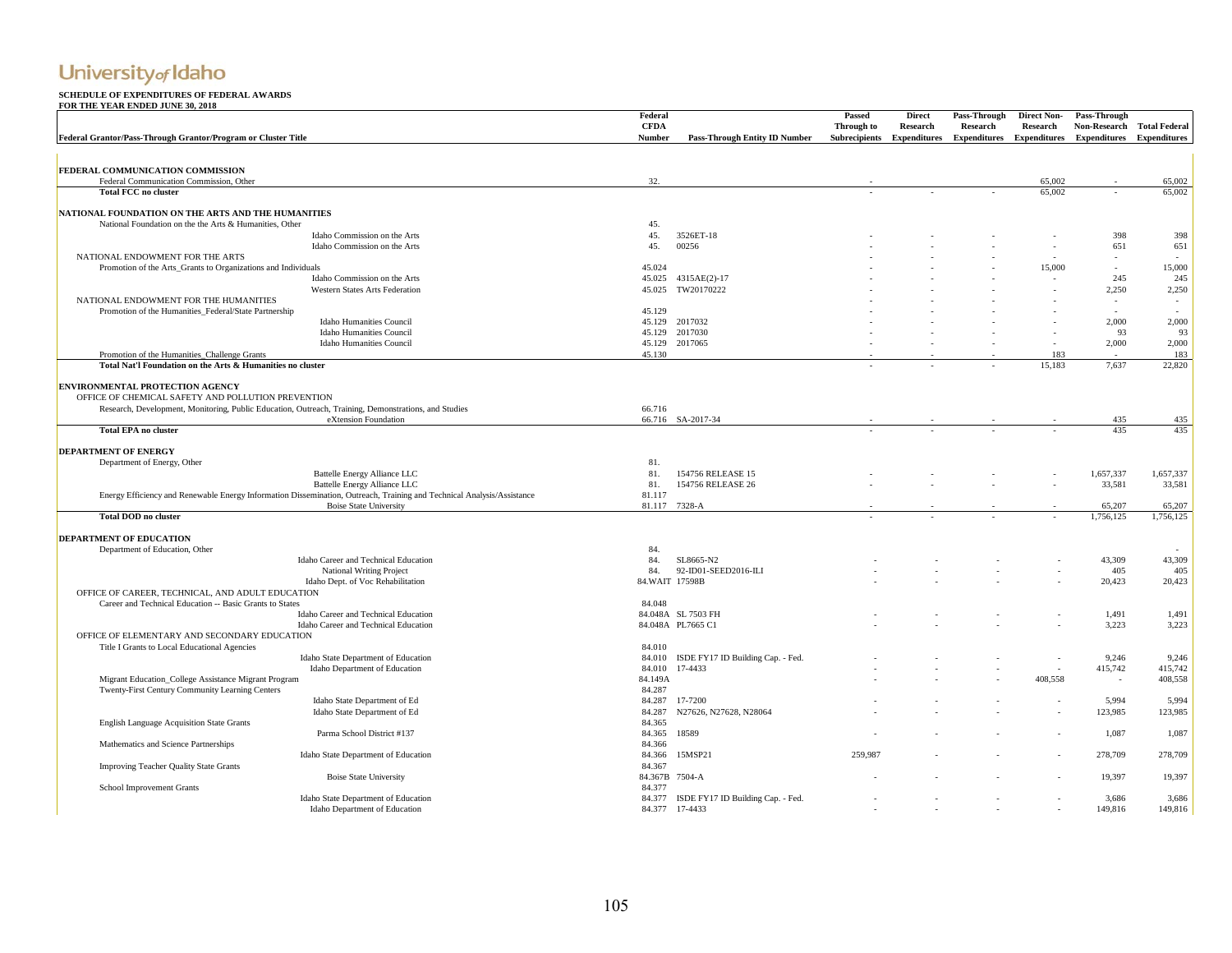|                                                                                                                        | Federal<br><b>CFDA</b> |                                      | Passed<br>Through to | <b>Direct</b><br>Research | Pass-Through<br>Research                                                       | <b>Direct Non-</b><br>Research | Pass-Through | Non-Research Total Federal |
|------------------------------------------------------------------------------------------------------------------------|------------------------|--------------------------------------|----------------------|---------------------------|--------------------------------------------------------------------------------|--------------------------------|--------------|----------------------------|
| Federal Grantor/Pass-Through Grantor/Program or Cluster Title                                                          | <b>Number</b>          | <b>Pass-Through Entity ID Number</b> |                      |                           | Subrecipients Expenditures Expenditures Expenditures Expenditures Expenditures |                                |              |                            |
|                                                                                                                        |                        |                                      |                      |                           |                                                                                |                                |              |                            |
| FEDERAL COMMUNICATION COMMISSION                                                                                       | 32.                    |                                      |                      |                           |                                                                                | 65,002                         |              | 65,002                     |
| Federal Communication Commission, Other<br><b>Total FCC no cluster</b>                                                 |                        |                                      |                      |                           |                                                                                | 65,002                         |              | 65,002                     |
|                                                                                                                        |                        |                                      |                      |                           |                                                                                |                                |              |                            |
| NATIONAL FOUNDATION ON THE ARTS AND THE HUMANITIES                                                                     |                        |                                      |                      |                           |                                                                                |                                |              |                            |
| National Foundation on the the Arts & Humanities, Other                                                                | 45.                    |                                      |                      |                           |                                                                                |                                |              |                            |
| Idaho Commission on the Arts<br>Idaho Commission on the Arts                                                           | 45.<br>45.             | 3526ET-18<br>00256                   |                      |                           |                                                                                |                                | 398          | 398                        |
| NATIONAL ENDOWMENT FOR THE ARTS                                                                                        |                        |                                      |                      |                           |                                                                                |                                | 651          | 651                        |
| Promotion of the Arts_Grants to Organizations and Individuals                                                          | 45.024                 |                                      |                      |                           |                                                                                | 15,000                         | $\sim$       | 15,000                     |
| Idaho Commission on the Arts                                                                                           | 45.025                 | 4315AE(2)-17                         |                      |                           |                                                                                |                                | 245          | 245                        |
| Western States Arts Federation                                                                                         | 45.025                 | TW20170222                           |                      |                           |                                                                                |                                | 2,250        | 2,250                      |
| NATIONAL ENDOWMENT FOR THE HUMANITIES                                                                                  |                        |                                      |                      |                           |                                                                                |                                | $\sim$       | $\sim$                     |
| Promotion of the Humanities_Federal/State Partnership                                                                  | 45.129                 |                                      |                      |                           |                                                                                |                                | $\sim$       |                            |
| Idaho Humanities Council                                                                                               | 45.129                 | 2017032                              |                      |                           |                                                                                |                                | 2,000        | 2,000                      |
| Idaho Humanities Council                                                                                               | 45.129                 | 2017030                              |                      |                           |                                                                                |                                | 93           | 93                         |
| Idaho Humanities Council                                                                                               |                        | 45.129 2017065                       |                      |                           |                                                                                |                                | 2,000        | 2,000                      |
| Promotion of the Humanities Challenge Grants                                                                           | 45.130                 |                                      |                      |                           |                                                                                | 183                            |              | 183                        |
| Total Nat'l Foundation on the Arts & Humanities no cluster                                                             |                        |                                      |                      |                           |                                                                                | 15.183                         | 7,637        | 22,820                     |
|                                                                                                                        |                        |                                      |                      |                           |                                                                                |                                |              |                            |
| <b>ENVIRONMENTAL PROTECTION AGENCY</b>                                                                                 |                        |                                      |                      |                           |                                                                                |                                |              |                            |
| OFFICE OF CHEMICAL SAFETY AND POLLUTION PREVENTION                                                                     |                        |                                      |                      |                           |                                                                                |                                |              |                            |
| Research, Development, Monitoring, Public Education, Outreach, Training, Demonstrations, and Studies                   | 66.716                 |                                      |                      |                           |                                                                                |                                |              |                            |
| eXtension Foundation                                                                                                   |                        | 66.716 SA-2017-34                    |                      |                           |                                                                                |                                | 435          | 435                        |
| <b>Total EPA no cluster</b>                                                                                            |                        |                                      |                      |                           |                                                                                |                                | 435          | 435                        |
| <b>DEPARTMENT OF ENERGY</b>                                                                                            |                        |                                      |                      |                           |                                                                                |                                |              |                            |
| Department of Energy, Other                                                                                            | 81.                    |                                      |                      |                           |                                                                                |                                |              |                            |
| Battelle Energy Alliance LLC                                                                                           | 81.                    | 154756 RELEASE 15                    |                      |                           |                                                                                |                                | 1,657,337    | 1,657,337                  |
| Battelle Energy Alliance LLC                                                                                           | 81.                    | 154756 RELEASE 26                    |                      |                           |                                                                                |                                | 33.581       | 33,581                     |
| Energy Efficiency and Renewable Energy Information Dissemination, Outreach, Training and Technical Analysis/Assistance | 81.117                 |                                      |                      |                           |                                                                                |                                |              |                            |
| <b>Boise State University</b>                                                                                          |                        | 81.117 7328-A                        |                      |                           |                                                                                |                                | 65,207       | 65,207                     |
| <b>Total DOD</b> no cluster                                                                                            |                        |                                      |                      |                           |                                                                                |                                | 1,756,125    | 1,756,125                  |
|                                                                                                                        |                        |                                      |                      |                           |                                                                                |                                |              |                            |
| DEPARTMENT OF EDUCATION                                                                                                |                        |                                      |                      |                           |                                                                                |                                |              |                            |
| Department of Education, Other<br>Idaho Career and Technical Education                                                 | 84.<br>84.             | SL8665-N2                            |                      |                           |                                                                                |                                | 43.309       | 43,309                     |
| National Writing Project                                                                                               | 84.                    | 92-ID01-SEED2016-ILI                 |                      |                           |                                                                                |                                | 405          | 405                        |
| Idaho Dept. of Voc Rehabilitation                                                                                      | 84.WAIT 17598B         |                                      |                      |                           |                                                                                |                                | 20,423       | 20,423                     |
| OFFICE OF CAREER, TECHNICAL, AND ADULT EDUCATION                                                                       |                        |                                      |                      |                           |                                                                                |                                |              |                            |
| Career and Technical Education -- Basic Grants to States                                                               | 84.048                 |                                      |                      |                           |                                                                                |                                |              |                            |
| Idaho Career and Technical Education                                                                                   |                        | 84.048A SL 7503 FH                   |                      |                           |                                                                                |                                | 1,491        | 1,491                      |
| Idaho Career and Technical Education                                                                                   |                        | 84.048A PL7665 C1                    |                      |                           |                                                                                |                                | 3,223        | 3,223                      |
| OFFICE OF ELEMENTARY AND SECONDARY EDUCATION                                                                           |                        |                                      |                      |                           |                                                                                |                                |              |                            |
| Title I Grants to Local Educational Agencies                                                                           | 84.010                 |                                      |                      |                           |                                                                                |                                |              |                            |
| Idaho State Department of Education                                                                                    | 84.010                 | ISDE FY17 ID Building Cap. - Fed.    |                      |                           |                                                                                | $\sim$                         | 9,246        | 9,246                      |
| Idaho Department of Education                                                                                          |                        | 84.010 17-4433                       |                      |                           |                                                                                | $\sim$                         | 415,742      | 415,742                    |
| Migrant Education_College Assistance Migrant Program                                                                   | 84.149A                |                                      |                      |                           |                                                                                | 408,558                        | $\sim$       | 408,558                    |
| Twenty-First Century Community Learning Centers                                                                        | 84.287                 |                                      |                      |                           |                                                                                |                                |              |                            |
| Idaho State Department of Ed                                                                                           | 84.287                 | 17-7200                              |                      |                           |                                                                                |                                | 5.994        | 5.994                      |
| Idaho State Department of Ed                                                                                           | 84.287                 | N27626, N27628, N28064               |                      |                           |                                                                                |                                | 123,985      | 123,985                    |
| English Language Acquisition State Grants                                                                              | 84.365                 |                                      |                      |                           |                                                                                |                                |              |                            |
| Parma School District #137                                                                                             | 84.365                 | 18589                                |                      |                           |                                                                                |                                | 1,087        | 1,087                      |
| Mathematics and Science Partnerships                                                                                   | 84.366                 |                                      |                      |                           |                                                                                |                                |              |                            |
| Idaho State Department of Education                                                                                    | 84.366                 | 15MSP21                              | 259,987              |                           |                                                                                |                                | 278,709      | 278,709                    |
| Improving Teacher Quality State Grants                                                                                 | 84.367                 |                                      |                      |                           |                                                                                |                                |              |                            |
| <b>Boise State University</b>                                                                                          |                        | 84.367B 7504-A                       |                      |                           |                                                                                |                                | 19,397       | 19,397                     |
| School Improvement Grants                                                                                              | 84.377                 |                                      |                      |                           |                                                                                |                                |              |                            |
| Idaho State Department of Education                                                                                    | 84.377                 | ISDE FY17 ID Building Cap. - Fed.    |                      |                           |                                                                                |                                | 3,686        | 3,686                      |
| Idaho Department of Education                                                                                          | 84.377                 | 17-4433                              |                      |                           |                                                                                |                                | 149,816      | 149,816                    |